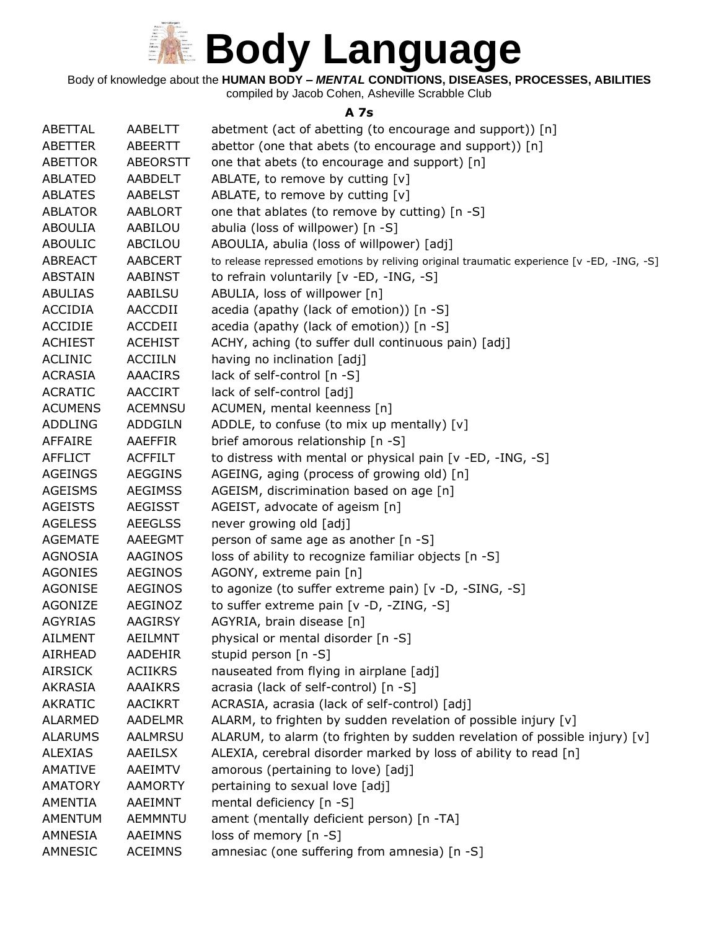

Body of knowledge about the **HUMAN BODY –** *MENTAL* **CONDITIONS, DISEASES, PROCESSES, ABILITIES**

compiled by Jacob Cohen, Asheville Scrabble Club

#### **A 7s**

| ABETTAL        | AABELTT         | abetment (act of abetting (to encourage and support)) [n]                                 |
|----------------|-----------------|-------------------------------------------------------------------------------------------|
| ABETTER        | <b>ABEERTT</b>  | abettor (one that abets (to encourage and support)) [n]                                   |
| <b>ABETTOR</b> | <b>ABEORSTT</b> | one that abets (to encourage and support) [n]                                             |
| <b>ABLATED</b> | AABDELT         | ABLATE, to remove by cutting [v]                                                          |
| <b>ABLATES</b> | <b>AABELST</b>  | ABLATE, to remove by cutting [v]                                                          |
| <b>ABLATOR</b> | <b>AABLORT</b>  | one that ablates (to remove by cutting) [n -S]                                            |
| <b>ABOULIA</b> | AABILOU         | abulia (loss of willpower) [n -S]                                                         |
| <b>ABOULIC</b> | ABCILOU         | ABOULIA, abulia (loss of willpower) [adj]                                                 |
| <b>ABREACT</b> | <b>AABCERT</b>  | to release repressed emotions by reliving original traumatic experience [v -ED, -ING, -S] |
| <b>ABSTAIN</b> | <b>AABINST</b>  | to refrain voluntarily [v -ED, -ING, -S]                                                  |
| <b>ABULIAS</b> | AABILSU         | ABULIA, loss of willpower [n]                                                             |
| <b>ACCIDIA</b> | AACCDII         | acedia (apathy (lack of emotion)) [n -S]                                                  |
| <b>ACCIDIE</b> | ACCDEII         | acedia (apathy (lack of emotion)) [n -S]                                                  |
| <b>ACHIEST</b> | <b>ACEHIST</b>  | ACHY, aching (to suffer dull continuous pain) [adj]                                       |
| <b>ACLINIC</b> | <b>ACCIILN</b>  | having no inclination [adj]                                                               |
| <b>ACRASIA</b> | <b>AAACIRS</b>  | lack of self-control [n -S]                                                               |
| <b>ACRATIC</b> | <b>AACCIRT</b>  | lack of self-control [adj]                                                                |
| <b>ACUMENS</b> | <b>ACEMNSU</b>  | ACUMEN, mental keenness [n]                                                               |
| <b>ADDLING</b> | <b>ADDGILN</b>  | ADDLE, to confuse (to mix up mentally) [v]                                                |
| AFFAIRE        | AAEFFIR         | brief amorous relationship [n -S]                                                         |
| <b>AFFLICT</b> | <b>ACFFILT</b>  | to distress with mental or physical pain [v -ED, -ING, -S]                                |
| <b>AGEINGS</b> | <b>AEGGINS</b>  | AGEING, aging (process of growing old) [n]                                                |
| <b>AGEISMS</b> | <b>AEGIMSS</b>  | AGEISM, discrimination based on age [n]                                                   |
| <b>AGEISTS</b> | <b>AEGISST</b>  | AGEIST, advocate of ageism [n]                                                            |
| <b>AGELESS</b> | <b>AEEGLSS</b>  | never growing old [adj]                                                                   |
| <b>AGEMATE</b> | AAEEGMT         | person of same age as another [n -S]                                                      |
| <b>AGNOSIA</b> | <b>AAGINOS</b>  | loss of ability to recognize familiar objects [n -S]                                      |
| <b>AGONIES</b> | <b>AEGINOS</b>  | AGONY, extreme pain [n]                                                                   |
| <b>AGONISE</b> | <b>AEGINOS</b>  | to agonize (to suffer extreme pain) [v -D, -SING, -S]                                     |
| <b>AGONIZE</b> | AEGINOZ         | to suffer extreme pain [v -D, -ZING, -S]                                                  |
| <b>AGYRIAS</b> | <b>AAGIRSY</b>  | AGYRIA, brain disease [n]                                                                 |
| <b>AILMENT</b> | <b>AEILMNT</b>  | physical or mental disorder [n -S]                                                        |
| AIRHEAD        | <b>AADEHIR</b>  | stupid person [n -S]                                                                      |
| <b>AIRSICK</b> | <b>ACIIKRS</b>  | nauseated from flying in airplane [adj]                                                   |
| <b>AKRASIA</b> | <b>AAAIKRS</b>  | acrasia (lack of self-control) [n -S]                                                     |
| <b>AKRATIC</b> | <b>AACIKRT</b>  | ACRASIA, acrasia (lack of self-control) [adj]                                             |
| <b>ALARMED</b> | <b>AADELMR</b>  | ALARM, to frighten by sudden revelation of possible injury [v]                            |
| <b>ALARUMS</b> | <b>AALMRSU</b>  | ALARUM, to alarm (to frighten by sudden revelation of possible injury) [v]                |
| <b>ALEXIAS</b> | AAEILSX         | ALEXIA, cerebral disorder marked by loss of ability to read [n]                           |
| <b>AMATIVE</b> | <b>AAEIMTV</b>  | amorous (pertaining to love) [adj]                                                        |
| <b>AMATORY</b> | <b>AAMORTY</b>  | pertaining to sexual love [adj]                                                           |
| <b>AMENTIA</b> | AAEIMNT         | mental deficiency [n -S]                                                                  |
| <b>AMENTUM</b> | <b>AEMMNTU</b>  | ament (mentally deficient person) [n -TA]                                                 |
| <b>AMNESIA</b> | <b>AAEIMNS</b>  | loss of memory [n -S]                                                                     |
| AMNESIC        | <b>ACEIMNS</b>  | amnesiac (one suffering from amnesia) [n -S]                                              |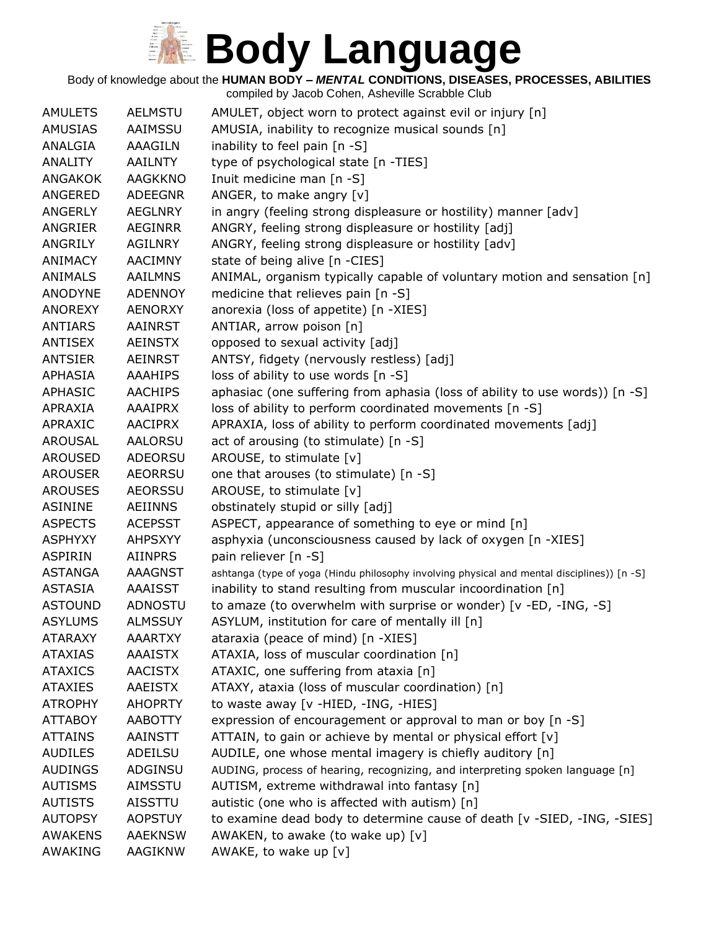Body of knowledge about the **HUMAN BODY –** *MENTAL* **CONDITIONS, DISEASES, PROCESSES, ABILITIES**

| <b>AMULETS</b> | <b>AELMSTU</b> | AMULET, object worn to protect against evil or injury [n]                                   |
|----------------|----------------|---------------------------------------------------------------------------------------------|
| <b>AMUSIAS</b> | AAIMSSU        | AMUSIA, inability to recognize musical sounds [n]                                           |
| ANALGIA        | <b>AAAGILN</b> | inability to feel pain $[n - S]$                                                            |
| <b>ANALITY</b> | <b>AAILNTY</b> | type of psychological state [n -TIES]                                                       |
| <b>ANGAKOK</b> | <b>AAGKKNO</b> | Inuit medicine man [n -S]                                                                   |
| ANGERED        | <b>ADEEGNR</b> | ANGER, to make angry [v]                                                                    |
| ANGERLY        | <b>AEGLNRY</b> | in angry (feeling strong displeasure or hostility) manner [adv]                             |
| ANGRIER        | <b>AEGINRR</b> | ANGRY, feeling strong displeasure or hostility [adj]                                        |
| ANGRILY        | <b>AGILNRY</b> | ANGRY, feeling strong displeasure or hostility [adv]                                        |
| <b>ANIMACY</b> | <b>AACIMNY</b> | state of being alive [n -CIES]                                                              |
| <b>ANIMALS</b> | <b>AAILMNS</b> | ANIMAL, organism typically capable of voluntary motion and sensation [n]                    |
| <b>ANODYNE</b> | <b>ADENNOY</b> | medicine that relieves pain [n -S]                                                          |
| <b>ANOREXY</b> | <b>AENORXY</b> | anorexia (loss of appetite) [n -XIES]                                                       |
| <b>ANTIARS</b> | <b>AAINRST</b> | ANTIAR, arrow poison [n]                                                                    |
| <b>ANTISEX</b> | <b>AEINSTX</b> | opposed to sexual activity [adj]                                                            |
| <b>ANTSIER</b> | <b>AEINRST</b> | ANTSY, fidgety (nervously restless) [adj]                                                   |
| <b>APHASIA</b> | <b>AAAHIPS</b> | loss of ability to use words [n -S]                                                         |
| <b>APHASIC</b> | <b>AACHIPS</b> | aphasiac (one suffering from aphasia (loss of ability to use words)) [n -S]                 |
| APRAXIA        | <b>AAAIPRX</b> | loss of ability to perform coordinated movements [n -S]                                     |
| APRAXIC        | <b>AACIPRX</b> | APRAXIA, loss of ability to perform coordinated movements [adj]                             |
| <b>AROUSAL</b> | <b>AALORSU</b> | act of arousing (to stimulate) [n -S]                                                       |
| <b>AROUSED</b> | ADEORSU        | AROUSE, to stimulate [v]                                                                    |
| <b>AROUSER</b> | <b>AEORRSU</b> | one that arouses (to stimulate) [n -S]                                                      |
| <b>AROUSES</b> | <b>AEORSSU</b> | AROUSE, to stimulate [v]                                                                    |
| <b>ASININE</b> | <b>AEIINNS</b> | obstinately stupid or silly [adj]                                                           |
| <b>ASPECTS</b> | <b>ACEPSST</b> | ASPECT, appearance of something to eye or mind [n]                                          |
| <b>ASPHYXY</b> | <b>AHPSXYY</b> | asphyxia (unconsciousness caused by lack of oxygen [n -XIES]                                |
| <b>ASPIRIN</b> | <b>AIINPRS</b> | pain reliever [n -S]                                                                        |
| <b>ASTANGA</b> | <b>AAAGNST</b> | ashtanga (type of yoga (Hindu philosophy involving physical and mental disciplines)) [n -S] |
| <b>ASTASIA</b> | <b>AAAISST</b> | inability to stand resulting from muscular incoordination [n]                               |
| <b>ASTOUND</b> | ADNOSTU        | to amaze (to overwhelm with surprise or wonder) [v -ED, -ING, -S]                           |
| <b>ASYLUMS</b> | <b>ALMSSUY</b> | ASYLUM, institution for care of mentally ill [n]                                            |
| <b>ATARAXY</b> | <b>AAARTXY</b> | ataraxia (peace of mind) [n -XIES]                                                          |
| <b>ATAXIAS</b> | <b>AAAISTX</b> | ATAXIA, loss of muscular coordination [n]                                                   |
| <b>ATAXICS</b> | <b>AACISTX</b> | ATAXIC, one suffering from ataxia [n]                                                       |
| <b>ATAXIES</b> | <b>AAEISTX</b> | ATAXY, ataxia (loss of muscular coordination) [n]                                           |
| <b>ATROPHY</b> | <b>AHOPRTY</b> | to waste away [v -HIED, -ING, -HIES]                                                        |
| <b>ATTABOY</b> | <b>AABOTTY</b> | expression of encouragement or approval to man or boy [n -S]                                |
| <b>ATTAINS</b> | <b>AAINSTT</b> | ATTAIN, to gain or achieve by mental or physical effort [v]                                 |
| <b>AUDILES</b> | ADEILSU        | AUDILE, one whose mental imagery is chiefly auditory [n]                                    |
| <b>AUDINGS</b> | ADGINSU        | AUDING, process of hearing, recognizing, and interpreting spoken language [n]               |
| <b>AUTISMS</b> | AIMSSTU        | AUTISM, extreme withdrawal into fantasy [n]                                                 |
| <b>AUTISTS</b> | AISSTTU        | autistic (one who is affected with autism) [n]                                              |
| <b>AUTOPSY</b> | <b>AOPSTUY</b> | to examine dead body to determine cause of death [v -SIED, -ING, -SIES]                     |
| <b>AWAKENS</b> | <b>AAEKNSW</b> | AWAKEN, to awake (to wake up) [v]                                                           |
| AWAKING        | AAGIKNW        | AWAKE, to wake up [v]                                                                       |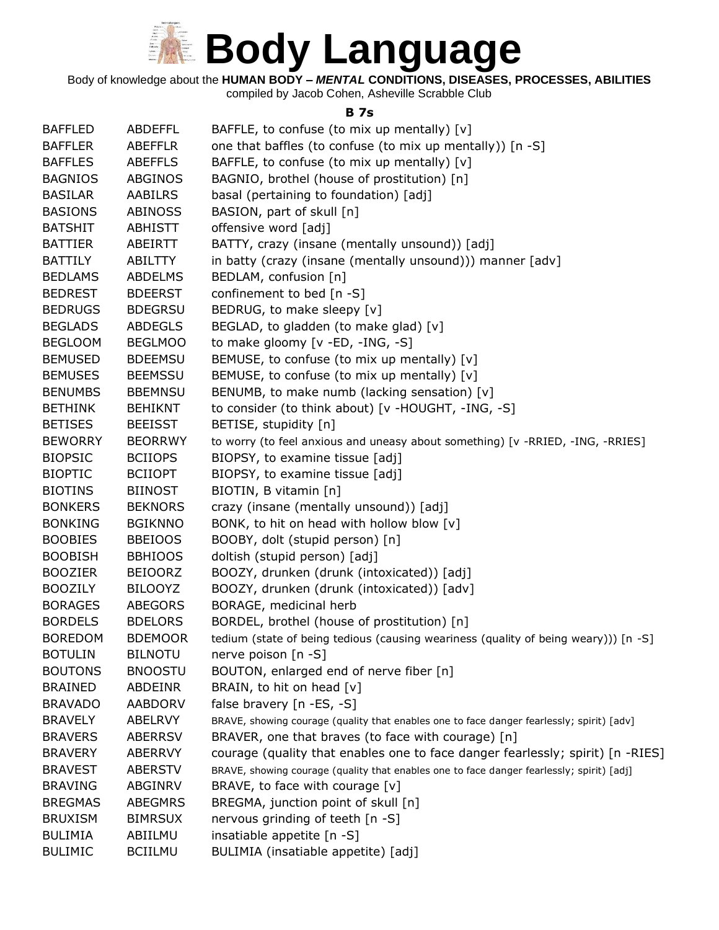

Body of knowledge about the **HUMAN BODY –** *MENTAL* **CONDITIONS, DISEASES, PROCESSES, ABILITIES**

compiled by Jacob Cohen, Asheville Scrabble Club

#### **B 7s**

| <b>BAFFLED</b> | <b>ABDEFFL</b> | BAFFLE, to confuse (to mix up mentally) [v]                                               |
|----------------|----------------|-------------------------------------------------------------------------------------------|
| <b>BAFFLER</b> | <b>ABEFFLR</b> | one that baffles (to confuse (to mix up mentally)) [n -S]                                 |
| <b>BAFFLES</b> | <b>ABEFFLS</b> | BAFFLE, to confuse (to mix up mentally) [v]                                               |
| <b>BAGNIOS</b> | ABGINOS        | BAGNIO, brothel (house of prostitution) [n]                                               |
| <b>BASILAR</b> | <b>AABILRS</b> | basal (pertaining to foundation) [adj]                                                    |
| <b>BASIONS</b> | <b>ABINOSS</b> | BASION, part of skull [n]                                                                 |
| <b>BATSHIT</b> | <b>ABHISTT</b> | offensive word [adj]                                                                      |
| <b>BATTIER</b> | ABEIRTT        | BATTY, crazy (insane (mentally unsound)) [adj]                                            |
| <b>BATTILY</b> | ABILTTY        | in batty (crazy (insane (mentally unsound))) manner [adv]                                 |
| <b>BEDLAMS</b> | <b>ABDELMS</b> | BEDLAM, confusion [n]                                                                     |
|                |                |                                                                                           |
| <b>BEDREST</b> | <b>BDEERST</b> | confinement to bed [n -S]                                                                 |
| <b>BEDRUGS</b> | <b>BDEGRSU</b> | BEDRUG, to make sleepy [v]                                                                |
| <b>BEGLADS</b> | <b>ABDEGLS</b> | BEGLAD, to gladden (to make glad) [v]                                                     |
| <b>BEGLOOM</b> | <b>BEGLMOO</b> | to make gloomy [v -ED, -ING, -S]                                                          |
| <b>BEMUSED</b> | <b>BDEEMSU</b> | BEMUSE, to confuse (to mix up mentally) [v]                                               |
| <b>BEMUSES</b> | <b>BEEMSSU</b> | BEMUSE, to confuse (to mix up mentally) [v]                                               |
| <b>BENUMBS</b> | <b>BBEMNSU</b> | BENUMB, to make numb (lacking sensation) [v]                                              |
| <b>BETHINK</b> | <b>BEHIKNT</b> | to consider (to think about) [v -HOUGHT, -ING, -S]                                        |
| <b>BETISES</b> | <b>BEEISST</b> | BETISE, stupidity [n]                                                                     |
| <b>BEWORRY</b> | <b>BEORRWY</b> | to worry (to feel anxious and uneasy about something) [v -RRIED, -ING, -RRIES]            |
| <b>BIOPSIC</b> | <b>BCIIOPS</b> | BIOPSY, to examine tissue [adj]                                                           |
| <b>BIOPTIC</b> | <b>BCIIOPT</b> | BIOPSY, to examine tissue [adj]                                                           |
| <b>BIOTINS</b> | <b>BIINOST</b> | BIOTIN, B vitamin [n]                                                                     |
| <b>BONKERS</b> | <b>BEKNORS</b> | crazy (insane (mentally unsound)) [adj]                                                   |
| <b>BONKING</b> | <b>BGIKNNO</b> | BONK, to hit on head with hollow blow [v]                                                 |
| <b>BOOBIES</b> | <b>BBEIOOS</b> | BOOBY, dolt (stupid person) [n]                                                           |
| <b>BOOBISH</b> | <b>BBHIOOS</b> | doltish (stupid person) [adj]                                                             |
| <b>BOOZIER</b> | <b>BEIOORZ</b> | BOOZY, drunken (drunk (intoxicated)) [adj]                                                |
| <b>BOOZILY</b> | <b>BILOOYZ</b> | BOOZY, drunken (drunk (intoxicated)) [adv]                                                |
| <b>BORAGES</b> | <b>ABEGORS</b> | BORAGE, medicinal herb                                                                    |
| <b>BORDELS</b> | <b>BDELORS</b> | BORDEL, brothel (house of prostitution) [n]                                               |
| <b>BOREDOM</b> | <b>BDEMOOR</b> | tedium (state of being tedious (causing weariness (quality of being weary))) [n -S]       |
| <b>BOTULIN</b> | <b>BILNOTU</b> | nerve poison [n -S]                                                                       |
| <b>BOUTONS</b> | <b>BNOOSTU</b> | BOUTON, enlarged end of nerve fiber [n]                                                   |
| <b>BRAINED</b> | ABDEINR        | BRAIN, to hit on head [v]                                                                 |
| <b>BRAVADO</b> | <b>AABDORV</b> | false bravery $[n - ES, -S]$                                                              |
| <b>BRAVELY</b> | <b>ABELRVY</b> | BRAVE, showing courage (quality that enables one to face danger fearlessly; spirit) [adv] |
| <b>BRAVERS</b> | <b>ABERRSV</b> | BRAVER, one that braves (to face with courage) [n]                                        |
| <b>BRAVERY</b> | <b>ABERRVY</b> | courage (quality that enables one to face danger fearlessly; spirit) [n -RIES]            |
| <b>BRAVEST</b> | <b>ABERSTV</b> | BRAVE, showing courage (quality that enables one to face danger fearlessly; spirit) [adj] |
| <b>BRAVING</b> | ABGINRV        | BRAVE, to face with courage [v]                                                           |
| <b>BREGMAS</b> | <b>ABEGMRS</b> | BREGMA, junction point of skull [n]                                                       |
| <b>BRUXISM</b> | <b>BIMRSUX</b> | nervous grinding of teeth [n -S]                                                          |
| <b>BULIMIA</b> | ABIILMU        | insatiable appetite [n -S]                                                                |
| <b>BULIMIC</b> | <b>BCIILMU</b> | BULIMIA (insatiable appetite) [adj]                                                       |
|                |                |                                                                                           |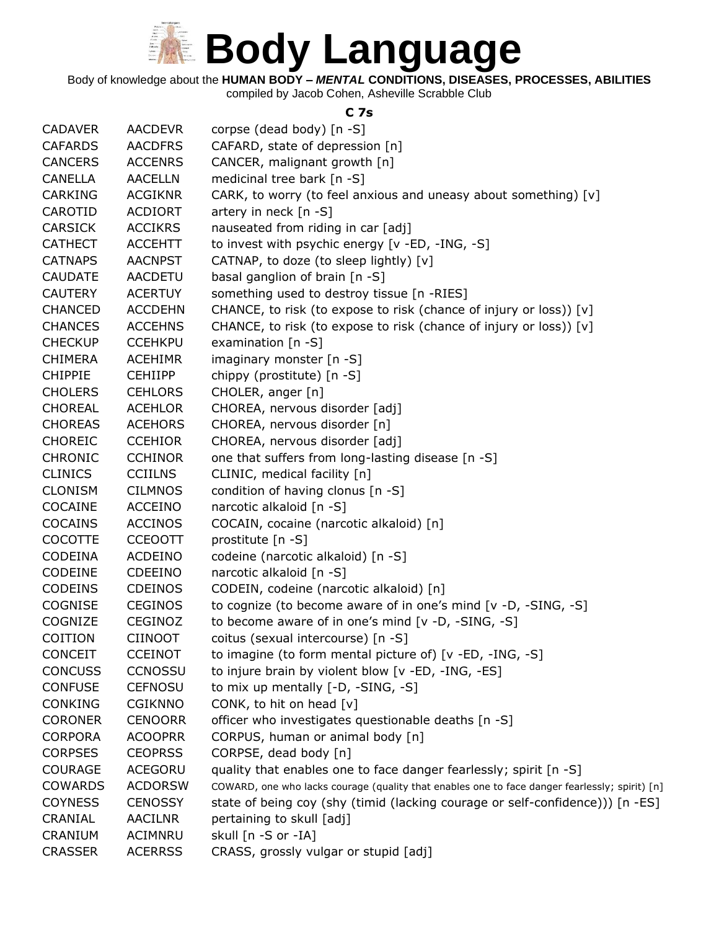

Body of knowledge about the **HUMAN BODY –** *MENTAL* **CONDITIONS, DISEASES, PROCESSES, ABILITIES**

compiled by Jacob Cohen, Asheville Scrabble Club

#### **C 7s**

| <b>CADAVER</b> | AACDEVR        | corpse (dead body) [n -S]                                                                      |
|----------------|----------------|------------------------------------------------------------------------------------------------|
| <b>CAFARDS</b> | <b>AACDFRS</b> | CAFARD, state of depression [n]                                                                |
| <b>CANCERS</b> | <b>ACCENRS</b> | CANCER, malignant growth [n]                                                                   |
| <b>CANELLA</b> | <b>AACELLN</b> | medicinal tree bark [n -S]                                                                     |
| <b>CARKING</b> | <b>ACGIKNR</b> | CARK, to worry (to feel anxious and uneasy about something) [v]                                |
| CAROTID        | <b>ACDIORT</b> | artery in neck $[n - S]$                                                                       |
| <b>CARSICK</b> | <b>ACCIKRS</b> | nauseated from riding in car [adj]                                                             |
| <b>CATHECT</b> | <b>ACCEHTT</b> | to invest with psychic energy [v -ED, -ING, -S]                                                |
| <b>CATNAPS</b> | <b>AACNPST</b> | CATNAP, to doze (to sleep lightly) [v]                                                         |
| <b>CAUDATE</b> | <b>AACDETU</b> | basal ganglion of brain [n -S]                                                                 |
| <b>CAUTERY</b> | <b>ACERTUY</b> | something used to destroy tissue [n -RIES]                                                     |
| <b>CHANCED</b> | <b>ACCDEHN</b> | CHANCE, to risk (to expose to risk (chance of injury or loss)) [v]                             |
| <b>CHANCES</b> | <b>ACCEHNS</b> | CHANCE, to risk (to expose to risk (chance of injury or loss)) [v]                             |
| <b>CHECKUP</b> | <b>CCEHKPU</b> | examination [n -S]                                                                             |
| <b>CHIMERA</b> | <b>ACEHIMR</b> | imaginary monster $[n - S]$                                                                    |
| <b>CHIPPIE</b> | <b>CEHIIPP</b> | chippy (prostitute) [n -S]                                                                     |
| <b>CHOLERS</b> | <b>CEHLORS</b> | CHOLER, anger [n]                                                                              |
| <b>CHOREAL</b> | <b>ACEHLOR</b> | CHOREA, nervous disorder [adj]                                                                 |
| <b>CHOREAS</b> | <b>ACEHORS</b> | CHOREA, nervous disorder [n]                                                                   |
| <b>CHOREIC</b> | <b>CCEHIOR</b> | CHOREA, nervous disorder [adj]                                                                 |
| <b>CHRONIC</b> | <b>CCHINOR</b> | one that suffers from long-lasting disease [n -S]                                              |
| <b>CLINICS</b> | <b>CCIILNS</b> | CLINIC, medical facility [n]                                                                   |
| <b>CLONISM</b> | <b>CILMNOS</b> | condition of having clonus [n -S]                                                              |
| COCAINE        | <b>ACCEINO</b> | narcotic alkaloid [n -S]                                                                       |
| <b>COCAINS</b> | <b>ACCINOS</b> | COCAIN, cocaine (narcotic alkaloid) [n]                                                        |
| <b>COCOTTE</b> | <b>CCEOOTT</b> | prostitute [n -S]                                                                              |
| CODEINA        | <b>ACDEINO</b> | codeine (narcotic alkaloid) [n -S]                                                             |
| CODEINE        | <b>CDEEINO</b> | narcotic alkaloid [n -S]                                                                       |
| <b>CODEINS</b> | <b>CDEINOS</b> | CODEIN, codeine (narcotic alkaloid) [n]                                                        |
| <b>COGNISE</b> | <b>CEGINOS</b> | to cognize (to become aware of in one's mind [v -D, -SING, -S]                                 |
| <b>COGNIZE</b> | <b>CEGINOZ</b> | to become aware of in one's mind [v -D, -SING, -S]                                             |
| COITION        | <b>CIINOOT</b> | coitus (sexual intercourse) [n -S]                                                             |
| <b>CONCEIT</b> | <b>CCEINOT</b> | to imagine (to form mental picture of) $[v - ED, -ING, -S]$                                    |
| <b>CONCUSS</b> | <b>CCNOSSU</b> | to injure brain by violent blow [v -ED, -ING, -ES]                                             |
| <b>CONFUSE</b> | <b>CEFNOSU</b> | to mix up mentally [-D, -SING, -S]                                                             |
| <b>CONKING</b> | <b>CGIKNNO</b> | CONK, to hit on head [v]                                                                       |
| <b>CORONER</b> | <b>CENOORR</b> | officer who investigates questionable deaths [n -S]                                            |
| <b>CORPORA</b> | <b>ACOOPRR</b> | CORPUS, human or animal body [n]                                                               |
| <b>CORPSES</b> | <b>CEOPRSS</b> | CORPSE, dead body [n]                                                                          |
| <b>COURAGE</b> | ACEGORU        | quality that enables one to face danger fearlessly; spirit [n -S]                              |
| <b>COWARDS</b> | <b>ACDORSW</b> | COWARD, one who lacks courage (quality that enables one to face danger fearlessly; spirit) [n] |
| <b>COYNESS</b> | <b>CENOSSY</b> | state of being coy (shy (timid (lacking courage or self-confidence))) [n -ES]                  |
| CRANIAL        | <b>AACILNR</b> | pertaining to skull [adj]                                                                      |
| CRANIUM        | <b>ACIMNRU</b> | skull [n -S or -IA]                                                                            |
| <b>CRASSER</b> | <b>ACERRSS</b> | CRASS, grossly vulgar or stupid [adj]                                                          |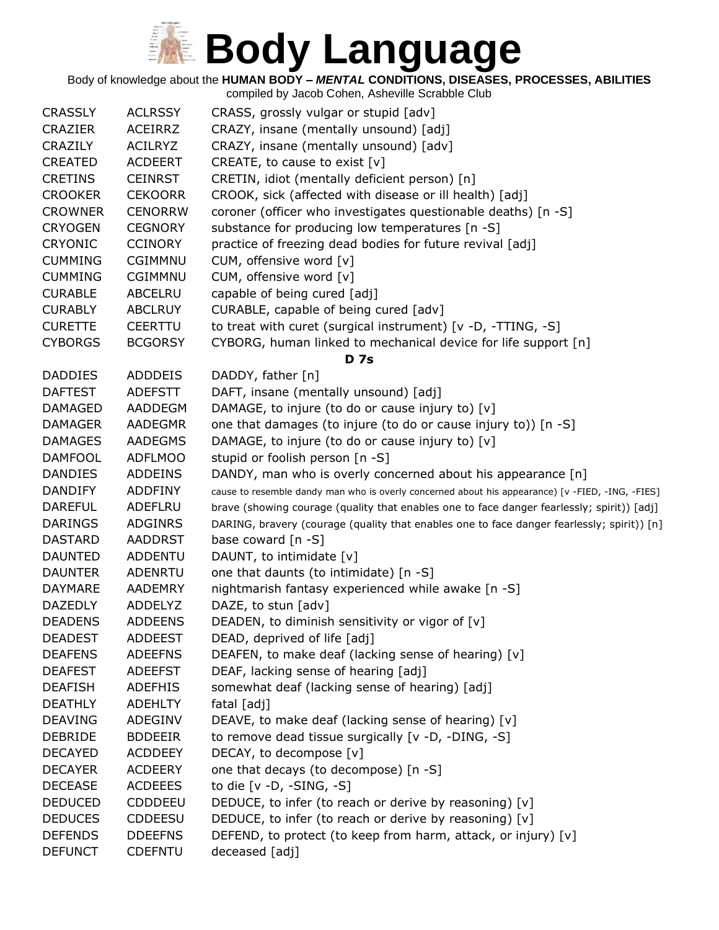Body of knowledge about the **HUMAN BODY –** *MENTAL* **CONDITIONS, DISEASES, PROCESSES, ABILITIES**

| <b>CRASSLY</b> | <b>ACLRSSY</b> | CRASS, grossly vulgar or stupid [adv]                                                            |
|----------------|----------------|--------------------------------------------------------------------------------------------------|
| <b>CRAZIER</b> | <b>ACEIRRZ</b> | CRAZY, insane (mentally unsound) [adj]                                                           |
| <b>CRAZILY</b> | <b>ACILRYZ</b> | CRAZY, insane (mentally unsound) [adv]                                                           |
| <b>CREATED</b> | <b>ACDEERT</b> | CREATE, to cause to exist [v]                                                                    |
| <b>CRETINS</b> | <b>CEINRST</b> | CRETIN, idiot (mentally deficient person) [n]                                                    |
| <b>CROOKER</b> | <b>CEKOORR</b> | CROOK, sick (affected with disease or ill health) [adj]                                          |
| <b>CROWNER</b> | <b>CENORRW</b> | coroner (officer who investigates questionable deaths) [n -S]                                    |
| <b>CRYOGEN</b> | <b>CEGNORY</b> | substance for producing low temperatures [n -S]                                                  |
| <b>CRYONIC</b> | <b>CCINORY</b> | practice of freezing dead bodies for future revival [adj]                                        |
| <b>CUMMING</b> | CGIMMNU        | CUM, offensive word [v]                                                                          |
| <b>CUMMING</b> | <b>CGIMMNU</b> | CUM, offensive word [v]                                                                          |
| <b>CURABLE</b> | ABCELRU        | capable of being cured [adj]                                                                     |
| <b>CURABLY</b> | <b>ABCLRUY</b> | CURABLE, capable of being cured [adv]                                                            |
| <b>CURETTE</b> | <b>CEERTTU</b> | to treat with curet (surgical instrument) [v -D, -TTING, -S]                                     |
| <b>CYBORGS</b> | <b>BCGORSY</b> | CYBORG, human linked to mechanical device for life support [n]                                   |
|                |                | <b>D</b> 7s                                                                                      |
| <b>DADDIES</b> | <b>ADDDEIS</b> | DADDY, father [n]                                                                                |
| <b>DAFTEST</b> | <b>ADEFSTT</b> | DAFT, insane (mentally unsound) [adj]                                                            |
| <b>DAMAGED</b> | AADDEGM        | DAMAGE, to injure (to do or cause injury to) [v]                                                 |
| <b>DAMAGER</b> | AADEGMR        | one that damages (to injure (to do or cause injury to)) [n -S]                                   |
| <b>DAMAGES</b> | <b>AADEGMS</b> | DAMAGE, to injure (to do or cause injury to) [v]                                                 |
| <b>DAMFOOL</b> | <b>ADFLMOO</b> | stupid or foolish person [n -S]                                                                  |
| <b>DANDIES</b> | <b>ADDEINS</b> | DANDY, man who is overly concerned about his appearance [n]                                      |
| <b>DANDIFY</b> | <b>ADDFINY</b> | cause to resemble dandy man who is overly concerned about his appearance) [v -FIED, -ING, -FIES] |
| <b>DAREFUL</b> | ADEFLRU        | brave (showing courage (quality that enables one to face danger fearlessly; spirit)) [adj]       |
| <b>DARINGS</b> | <b>ADGINRS</b> | DARING, bravery (courage (quality that enables one to face danger fearlessly; spirit)) [n]       |
| <b>DASTARD</b> | <b>AADDRST</b> | base coward [n -S]                                                                               |
| <b>DAUNTED</b> | <b>ADDENTU</b> | DAUNT, to intimidate [v]                                                                         |
| <b>DAUNTER</b> | <b>ADENRTU</b> | one that daunts (to intimidate) [n -S]                                                           |
| <b>DAYMARE</b> | <b>AADEMRY</b> | nightmarish fantasy experienced while awake [n -S]                                               |
| <b>DAZEDLY</b> | ADDELYZ        | DAZE, to stun [adv]                                                                              |
| <b>DEADENS</b> | <b>ADDEENS</b> | DEADEN, to diminish sensitivity or vigor of [v]                                                  |
| <b>DEADEST</b> | <b>ADDEEST</b> | DEAD, deprived of life [adj]                                                                     |
| <b>DEAFENS</b> | <b>ADEEFNS</b> | DEAFEN, to make deaf (lacking sense of hearing) [v]                                              |
| <b>DEAFEST</b> | <b>ADEEFST</b> | DEAF, lacking sense of hearing [adj]                                                             |
| <b>DEAFISH</b> | <b>ADEFHIS</b> | somewhat deaf (lacking sense of hearing) [adj]                                                   |
| <b>DEATHLY</b> | <b>ADEHLTY</b> | fatal [adj]                                                                                      |
| <b>DEAVING</b> | <b>ADEGINV</b> | DEAVE, to make deaf (lacking sense of hearing) [v]                                               |
| <b>DEBRIDE</b> | <b>BDDEEIR</b> | to remove dead tissue surgically [v -D, -DING, -S]                                               |
| <b>DECAYED</b> | <b>ACDDEEY</b> | DECAY, to decompose [v]                                                                          |
| <b>DECAYER</b> | <b>ACDEERY</b> | one that decays (to decompose) [n -S]                                                            |
| <b>DECEASE</b> | <b>ACDEEES</b> | to die $[v -D, -SING, -S]$                                                                       |
| <b>DEDUCED</b> | <b>CDDDEEU</b> | DEDUCE, to infer (to reach or derive by reasoning) [v]                                           |
| <b>DEDUCES</b> | <b>CDDEESU</b> | DEDUCE, to infer (to reach or derive by reasoning) [v]                                           |
| <b>DEFENDS</b> | <b>DDEEFNS</b> | DEFEND, to protect (to keep from harm, attack, or injury) [v]                                    |
| <b>DEFUNCT</b> | <b>CDEFNTU</b> | deceased [adj]                                                                                   |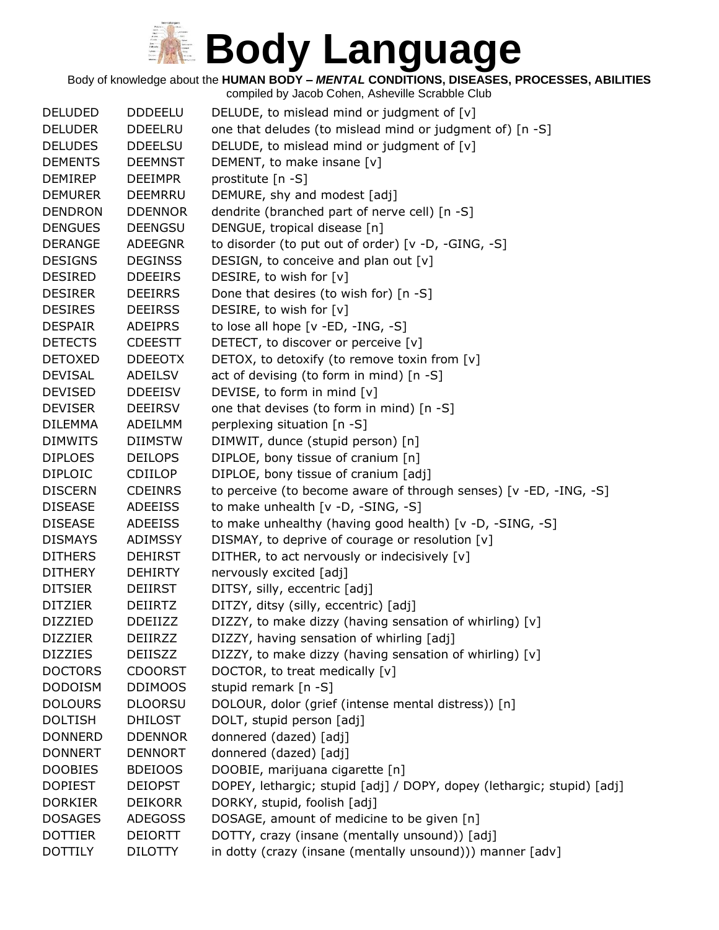Body of knowledge about the **HUMAN BODY –** *MENTAL* **CONDITIONS, DISEASES, PROCESSES, ABILITIES**

| <b>DELUDED</b> | <b>DDDEELU</b> | DELUDE, to mislead mind or judgment of [v]                             |
|----------------|----------------|------------------------------------------------------------------------|
| <b>DELUDER</b> | <b>DDEELRU</b> | one that deludes (to mislead mind or judgment of) [n -S]               |
| <b>DELUDES</b> | <b>DDEELSU</b> | DELUDE, to mislead mind or judgment of [v]                             |
| <b>DEMENTS</b> | <b>DEEMNST</b> | DEMENT, to make insane [v]                                             |
| <b>DEMIREP</b> | <b>DEEIMPR</b> | prostitute [n -S]                                                      |
| <b>DEMURER</b> | <b>DEEMRRU</b> | DEMURE, shy and modest [adj]                                           |
| <b>DENDRON</b> | <b>DDENNOR</b> | dendrite (branched part of nerve cell) [n -S]                          |
| <b>DENGUES</b> | <b>DEENGSU</b> | DENGUE, tropical disease [n]                                           |
| <b>DERANGE</b> | ADEEGNR        | to disorder (to put out of order) [v -D, -GING, -S]                    |
| <b>DESIGNS</b> | <b>DEGINSS</b> | DESIGN, to conceive and plan out [v]                                   |
| <b>DESIRED</b> | <b>DDEEIRS</b> | DESIRE, to wish for [v]                                                |
| <b>DESIRER</b> | <b>DEEIRRS</b> | Done that desires (to wish for) [n -S]                                 |
| <b>DESIRES</b> | <b>DEEIRSS</b> | DESIRE, to wish for [v]                                                |
| <b>DESPAIR</b> | <b>ADEIPRS</b> | to lose all hope [v -ED, -ING, -S]                                     |
| <b>DETECTS</b> | <b>CDEESTT</b> | DETECT, to discover or perceive [v]                                    |
| <b>DETOXED</b> | <b>DDEEOTX</b> | DETOX, to detoxify (to remove toxin from [v]                           |
| <b>DEVISAL</b> | ADEILSV        | act of devising (to form in mind) [n -S]                               |
| <b>DEVISED</b> | <b>DDEEISV</b> | DEVISE, to form in mind [v]                                            |
| <b>DEVISER</b> | <b>DEEIRSV</b> | one that devises (to form in mind) [n -S]                              |
| <b>DILEMMA</b> | ADEILMM        | perplexing situation [n -S]                                            |
| <b>DIMWITS</b> | <b>DIIMSTW</b> | DIMWIT, dunce (stupid person) [n]                                      |
| <b>DIPLOES</b> | <b>DEILOPS</b> | DIPLOE, bony tissue of cranium [n]                                     |
| <b>DIPLOIC</b> | <b>CDIILOP</b> | DIPLOE, bony tissue of cranium [adj]                                   |
| <b>DISCERN</b> | <b>CDEINRS</b> | to perceive (to become aware of through senses) [v -ED, -ING, -S]      |
| <b>DISEASE</b> | ADEEISS        | to make unhealth [v -D, -SING, -S]                                     |
| <b>DISEASE</b> | <b>ADEEISS</b> | to make unhealthy (having good health) [v -D, -SING, -S]               |
| <b>DISMAYS</b> | <b>ADIMSSY</b> | DISMAY, to deprive of courage or resolution [v]                        |
| <b>DITHERS</b> | <b>DEHIRST</b> | DITHER, to act nervously or indecisively [v]                           |
| <b>DITHERY</b> | <b>DEHIRTY</b> | nervously excited [adj]                                                |
| <b>DITSIER</b> | <b>DEIIRST</b> | DITSY, silly, eccentric [adj]                                          |
| <b>DITZIER</b> | <b>DEIIRTZ</b> | DITZY, ditsy (silly, eccentric) [adj]                                  |
| <b>DIZZIED</b> | <b>DDEIIZZ</b> | DIZZY, to make dizzy (having sensation of whirling) [v]                |
| <b>DIZZIER</b> | DEIIRZZ        | DIZZY, having sensation of whirling [adj]                              |
| <b>DIZZIES</b> | <b>DEIISZZ</b> | DIZZY, to make dizzy (having sensation of whirling) [v]                |
| <b>DOCTORS</b> | <b>CDOORST</b> | DOCTOR, to treat medically [v]                                         |
| <b>DODOISM</b> | <b>DDIMOOS</b> | stupid remark [n -S]                                                   |
| <b>DOLOURS</b> | <b>DLOORSU</b> | DOLOUR, dolor (grief (intense mental distress)) [n]                    |
| <b>DOLTISH</b> | <b>DHILOST</b> | DOLT, stupid person [adj]                                              |
| <b>DONNERD</b> | <b>DDENNOR</b> | donnered (dazed) [adj]                                                 |
| <b>DONNERT</b> | <b>DENNORT</b> | donnered (dazed) [adj]                                                 |
| <b>DOOBIES</b> | <b>BDEIOOS</b> | DOOBIE, marijuana cigarette [n]                                        |
| <b>DOPIEST</b> | <b>DEIOPST</b> | DOPEY, lethargic; stupid [adj] / DOPY, dopey (lethargic; stupid) [adj] |
| <b>DORKIER</b> | <b>DEIKORR</b> | DORKY, stupid, foolish [adj]                                           |
| <b>DOSAGES</b> | <b>ADEGOSS</b> | DOSAGE, amount of medicine to be given [n]                             |
| <b>DOTTIER</b> | <b>DEIORTT</b> | DOTTY, crazy (insane (mentally unsound)) [adj]                         |
| <b>DOTTILY</b> | <b>DILOTTY</b> | in dotty (crazy (insane (mentally unsound))) manner [adv]              |
|                |                |                                                                        |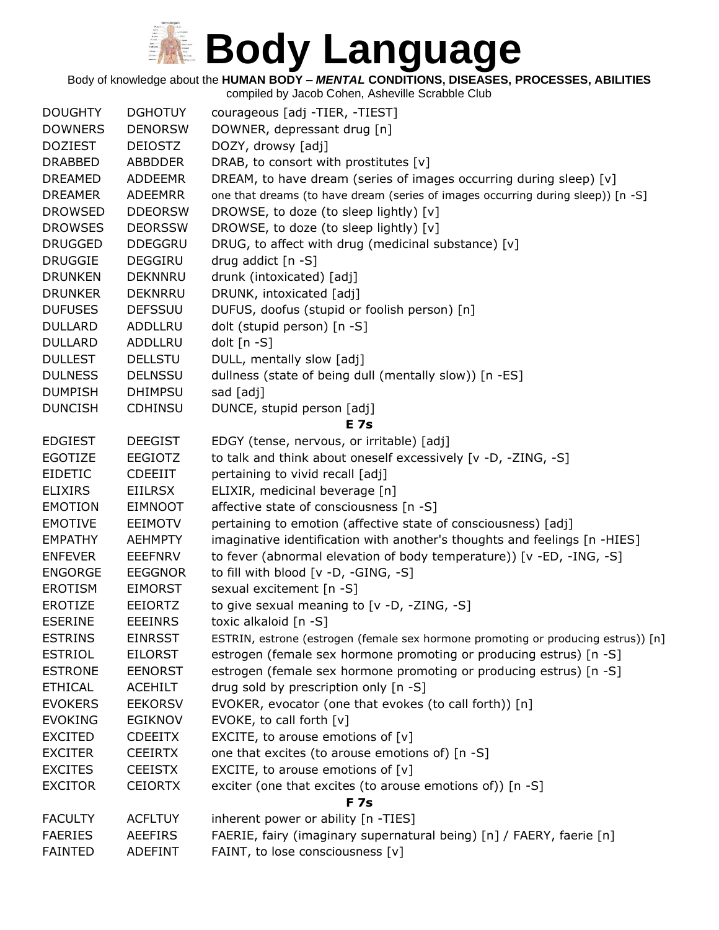Body of knowledge about the **HUMAN BODY –** *MENTAL* **CONDITIONS, DISEASES, PROCESSES, ABILITIES**

|                |                | compiled by Jacob Cohen, Asheville Scrabble Club                                  |
|----------------|----------------|-----------------------------------------------------------------------------------|
| <b>DOUGHTY</b> | <b>DGHOTUY</b> | courageous [adj -TIER, -TIEST]                                                    |
| <b>DOWNERS</b> | <b>DENORSW</b> | DOWNER, depressant drug [n]                                                       |
| <b>DOZIEST</b> | <b>DEIOSTZ</b> | DOZY, drowsy [adj]                                                                |
| <b>DRABBED</b> | <b>ABBDDER</b> | DRAB, to consort with prostitutes [v]                                             |
| <b>DREAMED</b> | <b>ADDEEMR</b> | DREAM, to have dream (series of images occurring during sleep) [v]                |
| <b>DREAMER</b> | <b>ADEEMRR</b> | one that dreams (to have dream (series of images occurring during sleep)) [n -S]  |
| <b>DROWSED</b> | <b>DDEORSW</b> | DROWSE, to doze (to sleep lightly) [v]                                            |
| <b>DROWSES</b> | <b>DEORSSW</b> | DROWSE, to doze (to sleep lightly) [v]                                            |
| <b>DRUGGED</b> | <b>DDEGGRU</b> | DRUG, to affect with drug (medicinal substance) [v]                               |
| <b>DRUGGIE</b> | <b>DEGGIRU</b> | drug addict [n -S]                                                                |
| <b>DRUNKEN</b> | <b>DEKNNRU</b> | drunk (intoxicated) [adj]                                                         |
| <b>DRUNKER</b> | <b>DEKNRRU</b> | DRUNK, intoxicated [adj]                                                          |
| <b>DUFUSES</b> | <b>DEFSSUU</b> | DUFUS, doofus (stupid or foolish person) [n]                                      |
| <b>DULLARD</b> | ADDLLRU        | dolt (stupid person) [n -S]                                                       |
| <b>DULLARD</b> | ADDLLRU        | dolt [n -S]                                                                       |
| <b>DULLEST</b> | <b>DELLSTU</b> | DULL, mentally slow [adj]                                                         |
| <b>DULNESS</b> | <b>DELNSSU</b> | dullness (state of being dull (mentally slow)) [n -ES]                            |
| <b>DUMPISH</b> | <b>DHIMPSU</b> | sad [adj]                                                                         |
| <b>DUNCISH</b> | <b>CDHINSU</b> | DUNCE, stupid person [adj]                                                        |
|                |                | <b>E</b> 7s                                                                       |
| <b>EDGIEST</b> | <b>DEEGIST</b> | EDGY (tense, nervous, or irritable) [adj]                                         |
| EGOTIZE        | <b>EEGIOTZ</b> | to talk and think about oneself excessively [v -D, -ZING, -S]                     |
| <b>EIDETIC</b> | <b>CDEEIIT</b> | pertaining to vivid recall [adj]                                                  |
| <b>ELIXIRS</b> | <b>EIILRSX</b> | ELIXIR, medicinal beverage [n]                                                    |
| <b>EMOTION</b> | <b>EIMNOOT</b> | affective state of consciousness [n -S]                                           |
| <b>EMOTIVE</b> | <b>EEIMOTV</b> | pertaining to emotion (affective state of consciousness) [adj]                    |
| <b>EMPATHY</b> | <b>AEHMPTY</b> | imaginative identification with another's thoughts and feelings [n -HIES]         |
| <b>ENFEVER</b> | <b>EEEFNRV</b> | to fever (abnormal elevation of body temperature)) [v -ED, -ING, -S]              |
| <b>ENGORGE</b> | <b>EEGGNOR</b> | to fill with blood [v -D, -GING, -S]                                              |
| <b>EROTISM</b> | <b>EIMORST</b> | sexual excitement [n -S]                                                          |
| <b>EROTIZE</b> | <b>EEIORTZ</b> | to give sexual meaning to [v -D, -ZING, -S]                                       |
| <b>ESERINE</b> | <b>EEEINRS</b> | toxic alkaloid [n -S]                                                             |
| <b>ESTRINS</b> | <b>EINRSST</b> | ESTRIN, estrone (estrogen (female sex hormone promoting or producing estrus)) [n] |
| <b>ESTRIOL</b> | EILORST        | estrogen (female sex hormone promoting or producing estrus) [n -S]                |
| <b>ESTRONE</b> | <b>EENORST</b> | estrogen (female sex hormone promoting or producing estrus) [n -S]                |
| <b>ETHICAL</b> | <b>ACEHILT</b> | drug sold by prescription only [n -S]                                             |
| <b>EVOKERS</b> | <b>EEKORSV</b> | EVOKER, evocator (one that evokes (to call forth)) [n]                            |
| <b>EVOKING</b> | <b>EGIKNOV</b> | EVOKE, to call forth [v]                                                          |
| <b>EXCITED</b> | <b>CDEEITX</b> | EXCITE, to arouse emotions of $[v]$                                               |
| <b>EXCITER</b> | <b>CEEIRTX</b> | one that excites (to arouse emotions of) [n -S]                                   |
| <b>EXCITES</b> | <b>CEEISTX</b> | EXCITE, to arouse emotions of $[v]$                                               |
| <b>EXCITOR</b> | <b>CEIORTX</b> | exciter (one that excites (to arouse emotions of)) [n -S]                         |
|                |                | <b>F</b> 7s                                                                       |
| <b>FACULTY</b> | <b>ACFLTUY</b> | inherent power or ability [n -TIES]                                               |
| <b>FAERIES</b> | <b>AEEFIRS</b> | FAERIE, fairy (imaginary supernatural being) [n] / FAERY, faerie [n]              |
| <b>FAINTED</b> | <b>ADEFINT</b> | FAINT, to lose consciousness [v]                                                  |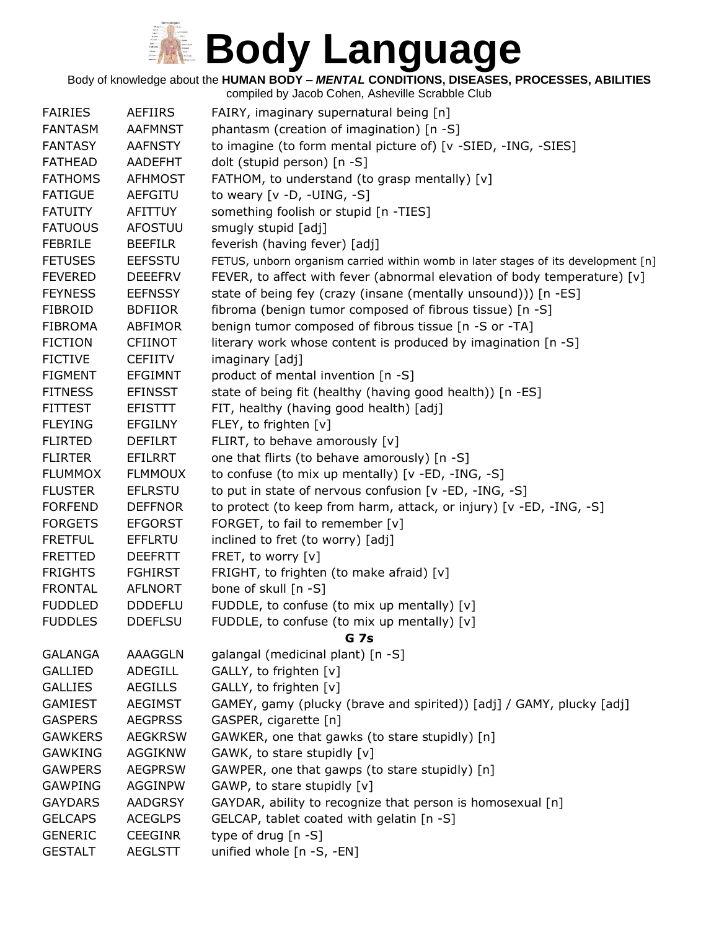Body of knowledge about the **HUMAN BODY –** *MENTAL* **CONDITIONS, DISEASES, PROCESSES, ABILITIES**

| <b>FAIRIES</b> | <b>AEFIIRS</b> | FAIRY, imaginary supernatural being [n]                                           |
|----------------|----------------|-----------------------------------------------------------------------------------|
| <b>FANTASM</b> | <b>AAFMNST</b> | phantasm (creation of imagination) [n -S]                                         |
| <b>FANTASY</b> | <b>AAFNSTY</b> | to imagine (to form mental picture of) [v -SIED, -ING, -SIES]                     |
| <b>FATHEAD</b> | AADEFHT        | dolt (stupid person) [n -S]                                                       |
| <b>FATHOMS</b> | <b>AFHMOST</b> | FATHOM, to understand (to grasp mentally) [v]                                     |
| <b>FATIGUE</b> | <b>AEFGITU</b> | to weary $[v -D, -UING, -S]$                                                      |
| <b>FATUITY</b> | <b>AFITTUY</b> | something foolish or stupid [n -TIES]                                             |
| <b>FATUOUS</b> | <b>AFOSTUU</b> | smugly stupid [adj]                                                               |
| <b>FEBRILE</b> | <b>BEEFILR</b> | feverish (having fever) [adj]                                                     |
| <b>FETUSES</b> | <b>EEFSSTU</b> | FETUS, unborn organism carried within womb in later stages of its development [n] |
| <b>FEVERED</b> | <b>DEEEFRV</b> | FEVER, to affect with fever (abnormal elevation of body temperature) [v]          |
| <b>FEYNESS</b> | <b>EEFNSSY</b> | state of being fey (crazy (insane (mentally unsound))) [n -ES]                    |
| <b>FIBROID</b> | <b>BDFIIOR</b> | fibroma (benign tumor composed of fibrous tissue) [n -S]                          |
| <b>FIBROMA</b> | ABFIMOR        | benign tumor composed of fibrous tissue [n -S or -TA]                             |
| <b>FICTION</b> | <b>CFIINOT</b> | literary work whose content is produced by imagination [n -S]                     |
| <b>FICTIVE</b> | <b>CEFIITV</b> | imaginary [adj]                                                                   |
| <b>FIGMENT</b> | <b>EFGIMNT</b> | product of mental invention [n -S]                                                |
| <b>FITNESS</b> | <b>EFINSST</b> | state of being fit (healthy (having good health)) [n -ES]                         |
| <b>FITTEST</b> | <b>EFISTTT</b> | FIT, healthy (having good health) [adj]                                           |
| <b>FLEYING</b> | <b>EFGILNY</b> | FLEY, to frighten [v]                                                             |
| <b>FLIRTED</b> | <b>DEFILRT</b> | FLIRT, to behave amorously [v]                                                    |
| <b>FLIRTER</b> | EFILRRT        | one that flirts (to behave amorously) [n -S]                                      |
| <b>FLUMMOX</b> | <b>FLMMOUX</b> | to confuse (to mix up mentally) [v -ED, -ING, -S]                                 |
| <b>FLUSTER</b> | <b>EFLRSTU</b> | to put in state of nervous confusion [v -ED, -ING, -S]                            |
| <b>FORFEND</b> | <b>DEFFNOR</b> | to protect (to keep from harm, attack, or injury) [v -ED, -ING, -S]               |
| <b>FORGETS</b> | <b>EFGORST</b> | FORGET, to fail to remember [v]                                                   |
| <b>FRETFUL</b> | <b>EFFLRTU</b> | inclined to fret (to worry) [adj]                                                 |
| <b>FRETTED</b> | <b>DEEFRTT</b> | FRET, to worry [v]                                                                |
| <b>FRIGHTS</b> | <b>FGHIRST</b> | FRIGHT, to frighten (to make afraid) [v]                                          |
| <b>FRONTAL</b> | <b>AFLNORT</b> | bone of skull [n -S]                                                              |
| <b>FUDDLED</b> | <b>DDDEFLU</b> | FUDDLE, to confuse (to mix up mentally) [v]                                       |
| <b>FUDDLES</b> | <b>DDEFLSU</b> | FUDDLE, to confuse (to mix up mentally) [v]                                       |
|                |                | <b>G</b> 7s                                                                       |
| <b>GALANGA</b> | AAAGGLN        | galangal (medicinal plant) [n -S]                                                 |
| <b>GALLIED</b> | ADEGILL        | GALLY, to frighten [v]                                                            |
| <b>GALLIES</b> | <b>AEGILLS</b> | GALLY, to frighten [v]                                                            |
| <b>GAMIEST</b> | <b>AEGIMST</b> | GAMEY, gamy (plucky (brave and spirited)) [adj] / GAMY, plucky [adj]              |
| <b>GASPERS</b> | <b>AEGPRSS</b> | GASPER, cigarette [n]                                                             |
| <b>GAWKERS</b> | <b>AEGKRSW</b> | GAWKER, one that gawks (to stare stupidly) [n]                                    |
| <b>GAWKING</b> | AGGIKNW        | GAWK, to stare stupidly [v]                                                       |
| <b>GAWPERS</b> | <b>AEGPRSW</b> | GAWPER, one that gawps (to stare stupidly) [n]                                    |
| <b>GAWPING</b> | <b>AGGINPW</b> | GAWP, to stare stupidly [v]                                                       |
| <b>GAYDARS</b> | <b>AADGRSY</b> | GAYDAR, ability to recognize that person is homosexual [n]                        |
| <b>GELCAPS</b> | <b>ACEGLPS</b> | GELCAP, tablet coated with gelatin [n -S]                                         |
| <b>GENERIC</b> | <b>CEEGINR</b> | type of drug $[n - S]$                                                            |
| <b>GESTALT</b> | <b>AEGLSTT</b> | unified whole [n -S, -EN]                                                         |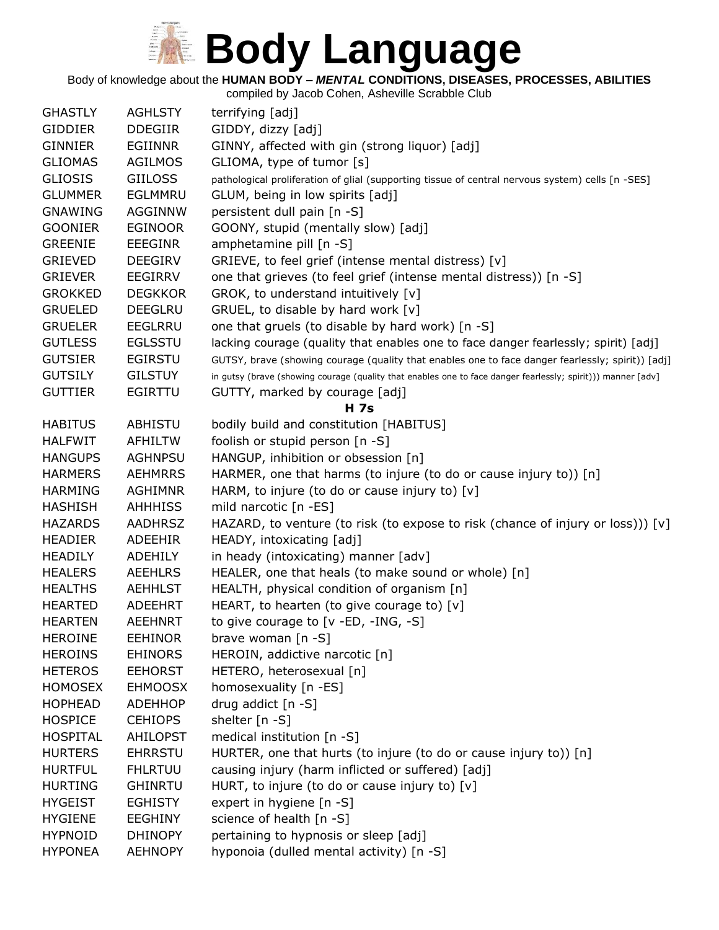Body of knowledge about the **HUMAN BODY –** *MENTAL* **CONDITIONS, DISEASES, PROCESSES, ABILITIES**

| <b>GHASTLY</b>  | <b>AGHLSTY</b>  | terrifying [adj]                                                                                             |
|-----------------|-----------------|--------------------------------------------------------------------------------------------------------------|
| <b>GIDDIER</b>  | <b>DDEGIIR</b>  | GIDDY, dizzy [adj]                                                                                           |
| <b>GINNIER</b>  | <b>EGIINNR</b>  | GINNY, affected with gin (strong liquor) [adj]                                                               |
| <b>GLIOMAS</b>  | <b>AGILMOS</b>  | GLIOMA, type of tumor [s]                                                                                    |
| <b>GLIOSIS</b>  | <b>GIILOSS</b>  | pathological proliferation of glial (supporting tissue of central nervous system) cells [n -SES]             |
| <b>GLUMMER</b>  | EGLMMRU         | GLUM, being in low spirits [adj]                                                                             |
| <b>GNAWING</b>  | AGGINNW         | persistent dull pain [n -S]                                                                                  |
| <b>GOONIER</b>  | <b>EGINOOR</b>  | GOONY, stupid (mentally slow) [adj]                                                                          |
| <b>GREENIE</b>  | <b>EEEGINR</b>  | amphetamine pill [n -S]                                                                                      |
| <b>GRIEVED</b>  | <b>DEEGIRV</b>  | GRIEVE, to feel grief (intense mental distress) [v]                                                          |
| <b>GRIEVER</b>  | EEGIRRV         | one that grieves (to feel grief (intense mental distress)) [n -S]                                            |
| <b>GROKKED</b>  | <b>DEGKKOR</b>  | GROK, to understand intuitively [v]                                                                          |
| <b>GRUELED</b>  | <b>DEEGLRU</b>  | GRUEL, to disable by hard work [v]                                                                           |
| <b>GRUELER</b>  | <b>EEGLRRU</b>  | one that gruels (to disable by hard work) [n -S]                                                             |
| <b>GUTLESS</b>  | <b>EGLSSTU</b>  | lacking courage (quality that enables one to face danger fearlessly; spirit) [adj]                           |
| <b>GUTSIER</b>  | <b>EGIRSTU</b>  | GUTSY, brave (showing courage (quality that enables one to face danger fearlessly; spirit)) [adj]            |
| <b>GUTSILY</b>  | <b>GILSTUY</b>  | in gutsy (brave (showing courage (quality that enables one to face danger fearlessly; spirit))) manner [adv] |
| <b>GUTTIER</b>  | <b>EGIRTTU</b>  | GUTTY, marked by courage [adj]                                                                               |
|                 |                 | <b>H</b> 7s                                                                                                  |
| <b>HABITUS</b>  | ABHISTU         | bodily build and constitution [HABITUS]                                                                      |
| <b>HALFWIT</b>  | <b>AFHILTW</b>  | foolish or stupid person [n -S]                                                                              |
| <b>HANGUPS</b>  | <b>AGHNPSU</b>  | HANGUP, inhibition or obsession [n]                                                                          |
| <b>HARMERS</b>  | <b>AEHMRRS</b>  | HARMER, one that harms (to injure (to do or cause injury to)) [n]                                            |
| <b>HARMING</b>  | <b>AGHIMNR</b>  | HARM, to injure (to do or cause injury to) [v]                                                               |
| <b>HASHISH</b>  | <b>AHHHISS</b>  | mild narcotic [n -ES]                                                                                        |
| <b>HAZARDS</b>  | <b>AADHRSZ</b>  |                                                                                                              |
|                 |                 | HAZARD, to venture (to risk (to expose to risk (chance of injury or loss))) $[v]$                            |
| <b>HEADIER</b>  | <b>ADEEHIR</b>  | HEADY, intoxicating [adj]                                                                                    |
| <b>HEADILY</b>  | <b>ADEHILY</b>  | in heady (intoxicating) manner [adv]                                                                         |
| <b>HEALERS</b>  | <b>AEEHLRS</b>  | HEALER, one that heals (to make sound or whole) [n]                                                          |
| <b>HEALTHS</b>  | <b>AEHHLST</b>  | HEALTH, physical condition of organism [n]                                                                   |
| <b>HEARTED</b>  | ADEEHRT         | HEART, to hearten (to give courage to) [v]                                                                   |
| <b>HEARTEN</b>  | <b>AEEHNRT</b>  | to give courage to $[v - ED, -ING, -S]$                                                                      |
| <b>HEROINE</b>  | <b>EEHINOR</b>  | brave woman $[n -S]$                                                                                         |
| <b>HEROINS</b>  | <b>EHINORS</b>  | HEROIN, addictive narcotic [n]                                                                               |
| <b>HETEROS</b>  | <b>EEHORST</b>  | HETERO, heterosexual [n]                                                                                     |
| <b>HOMOSEX</b>  | <b>EHMOOSX</b>  | homosexuality [n -ES]                                                                                        |
| <b>HOPHEAD</b>  | <b>ADEHHOP</b>  | drug addict [n -S]                                                                                           |
| <b>HOSPICE</b>  | <b>CEHIOPS</b>  | shelter [n -S]                                                                                               |
| <b>HOSPITAL</b> | <b>AHILOPST</b> | medical institution [n -S]                                                                                   |
| <b>HURTERS</b>  | <b>EHRRSTU</b>  | HURTER, one that hurts (to injure (to do or cause injury to)) [n]                                            |
| <b>HURTFUL</b>  | <b>FHLRTUU</b>  | causing injury (harm inflicted or suffered) [adj]                                                            |
| <b>HURTING</b>  | <b>GHINRTU</b>  | HURT, to injure (to do or cause injury to) [v]                                                               |
| <b>HYGEIST</b>  | <b>EGHISTY</b>  | expert in hygiene [n -S]                                                                                     |
| <b>HYGIENE</b>  | <b>EEGHINY</b>  | science of health [n -S]                                                                                     |
| <b>HYPNOID</b>  | <b>DHINOPY</b>  | pertaining to hypnosis or sleep [adj]                                                                        |
| <b>HYPONEA</b>  | <b>AEHNOPY</b>  | hyponoia (dulled mental activity) [n -S]                                                                     |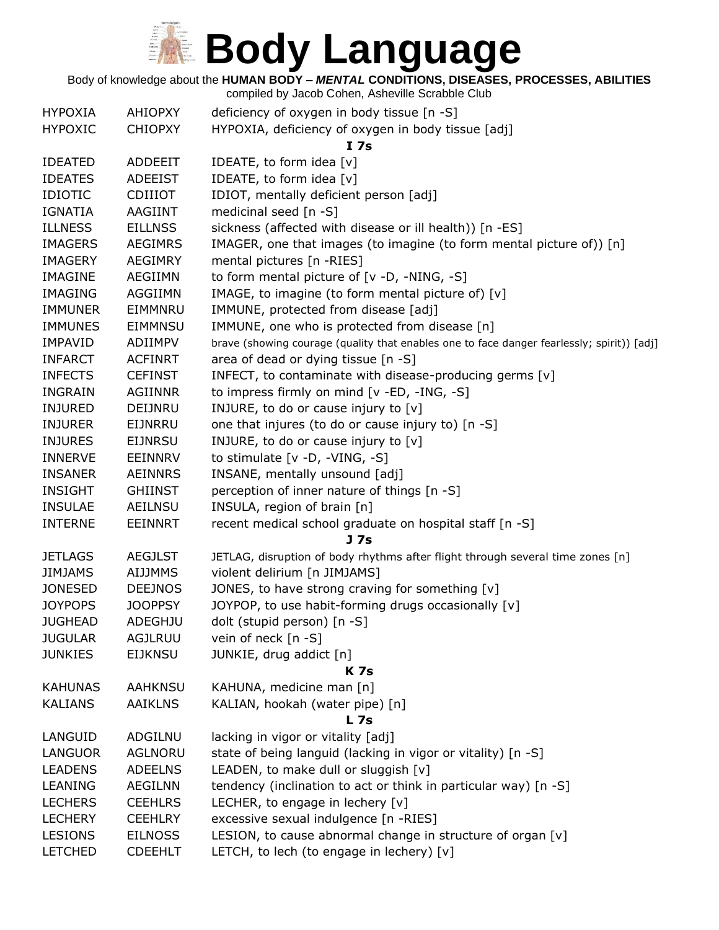Body of knowledge about the **HUMAN BODY –** *MENTAL* **CONDITIONS, DISEASES, PROCESSES, ABILITIES**

| <b>HYPOXIA</b> | <b>AHIOPXY</b> | deficiency of oxygen in body tissue [n -S]                                                 |
|----------------|----------------|--------------------------------------------------------------------------------------------|
| <b>HYPOXIC</b> | <b>CHIOPXY</b> | HYPOXIA, deficiency of oxygen in body tissue [adj]                                         |
|                |                | I 7s                                                                                       |
| <b>IDEATED</b> | <b>ADDEEIT</b> | IDEATE, to form idea [v]                                                                   |
| <b>IDEATES</b> | <b>ADEEIST</b> | IDEATE, to form idea [v]                                                                   |
| <b>IDIOTIC</b> | <b>CDIIIOT</b> | IDIOT, mentally deficient person [adj]                                                     |
| <b>IGNATIA</b> | AAGIINT        | medicinal seed [n -S]                                                                      |
| <b>ILLNESS</b> | <b>EILLNSS</b> | sickness (affected with disease or ill health)) [n -ES]                                    |
| <b>IMAGERS</b> | <b>AEGIMRS</b> | IMAGER, one that images (to imagine (to form mental picture of)) [n]                       |
| <b>IMAGERY</b> | <b>AEGIMRY</b> | mental pictures [n -RIES]                                                                  |
| <b>IMAGINE</b> | AEGIIMN        | to form mental picture of [v -D, -NING, -S]                                                |
| <b>IMAGING</b> | AGGIIMN        | IMAGE, to imagine (to form mental picture of) [v]                                          |
| <b>IMMUNER</b> | EIMMNRU        | IMMUNE, protected from disease [adj]                                                       |
| <b>IMMUNES</b> | EIMMNSU        | IMMUNE, one who is protected from disease [n]                                              |
| <b>IMPAVID</b> | ADIIMPV        | brave (showing courage (quality that enables one to face danger fearlessly; spirit)) [adj] |
| <b>INFARCT</b> | <b>ACFINRT</b> | area of dead or dying tissue [n -S]                                                        |
| <b>INFECTS</b> | <b>CEFINST</b> | INFECT, to contaminate with disease-producing germs [v]                                    |
| <b>INGRAIN</b> | <b>AGIINNR</b> | to impress firmly on mind [v -ED, -ING, -S]                                                |
| <b>INJURED</b> | DEIJNRU        | INJURE, to do or cause injury to [v]                                                       |
| <b>INJURER</b> | EIJNRRU        | one that injures (to do or cause injury to) [n -S]                                         |
| <b>INJURES</b> | <b>EIJNRSU</b> | INJURE, to do or cause injury to [v]                                                       |
| <b>INNERVE</b> | EEINNRV        | to stimulate $[v -D, -VING, -S]$                                                           |
| <b>INSANER</b> | <b>AEINNRS</b> | INSANE, mentally unsound [adj]                                                             |
| <b>INSIGHT</b> | <b>GHIINST</b> | perception of inner nature of things [n -S]                                                |
| <b>INSULAE</b> | AEILNSU        | INSULA, region of brain [n]                                                                |
| <b>INTERNE</b> | <b>EEINNRT</b> | recent medical school graduate on hospital staff [n -S]                                    |
|                |                | J <sub>7s</sub>                                                                            |
| <b>JETLAGS</b> | <b>AEGJLST</b> | JETLAG, disruption of body rhythms after flight through several time zones [n]             |
| <b>JIMJAMS</b> | <b>AIJJMMS</b> | violent delirium [n JIMJAMS]                                                               |
| <b>JONESED</b> | <b>DEEJNOS</b> | JONES, to have strong craving for something [v]                                            |
| <b>JOYPOPS</b> | <b>JOOPPSY</b> | JOYPOP, to use habit-forming drugs occasionally [v]                                        |
| <b>JUGHEAD</b> | <b>ADEGHJU</b> | dolt (stupid person) [n -S]                                                                |
| <b>JUGULAR</b> | AGJLRUU        | vein of neck $[n - S]$                                                                     |
| <b>JUNKIES</b> | <b>EIJKNSU</b> | JUNKIE, drug addict [n]                                                                    |
|                |                | <b>K7s</b>                                                                                 |
| <b>KAHUNAS</b> | <b>AAHKNSU</b> | KAHUNA, medicine man [n]                                                                   |
| <b>KALIANS</b> | <b>AAIKLNS</b> | KALIAN, hookah (water pipe) [n]                                                            |
|                |                | <b>L</b> 7s                                                                                |
| LANGUID        | <b>ADGILNU</b> | lacking in vigor or vitality [adj]                                                         |
| <b>LANGUOR</b> | AGLNORU        | state of being languid (lacking in vigor or vitality) [n -S]                               |
| <b>LEADENS</b> | <b>ADEELNS</b> | LEADEN, to make dull or sluggish [v]                                                       |
| <b>LEANING</b> | <b>AEGILNN</b> | tendency (inclination to act or think in particular way) [n -S]                            |
| <b>LECHERS</b> | <b>CEEHLRS</b> | LECHER, to engage in lechery [v]                                                           |
| <b>LECHERY</b> | <b>CEEHLRY</b> | excessive sexual indulgence [n -RIES]                                                      |
| <b>LESIONS</b> | <b>EILNOSS</b> | LESION, to cause abnormal change in structure of organ [v]                                 |
| <b>LETCHED</b> | <b>CDEEHLT</b> | LETCH, to lech (to engage in lechery) [v]                                                  |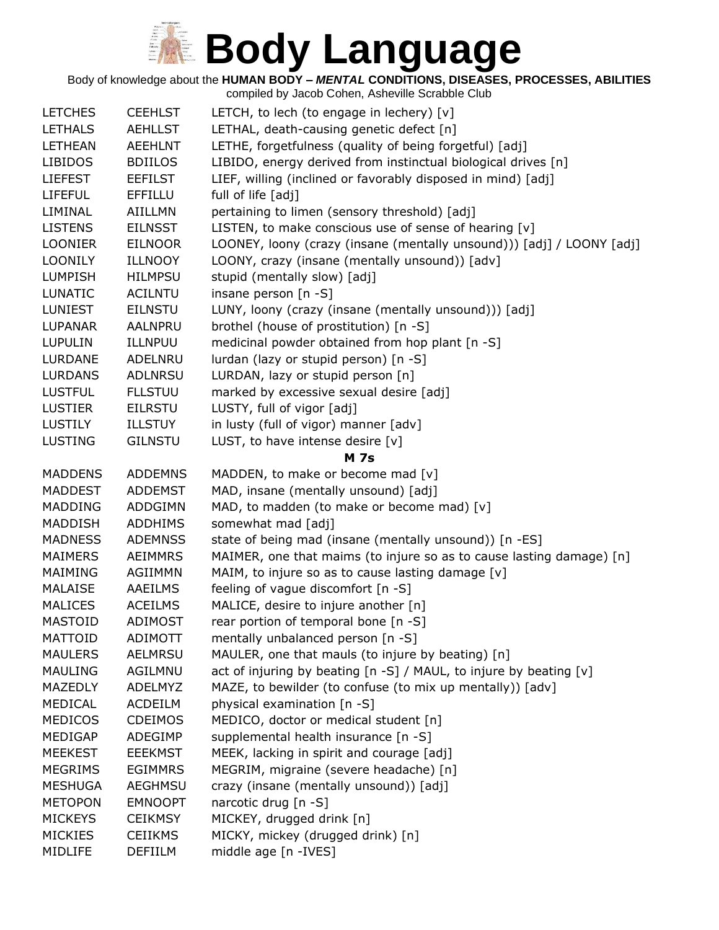Body of knowledge about the **HUMAN BODY –** *MENTAL* **CONDITIONS, DISEASES, PROCESSES, ABILITIES**

| <b>LETCHES</b> | <b>CEEHLST</b> | LETCH, to lech (to engage in lechery) [v]                             |
|----------------|----------------|-----------------------------------------------------------------------|
| <b>LETHALS</b> | <b>AEHLLST</b> | LETHAL, death-causing genetic defect [n]                              |
| <b>LETHEAN</b> | <b>AEEHLNT</b> | LETHE, forgetfulness (quality of being forgetful) [adj]               |
| <b>LIBIDOS</b> | <b>BDIILOS</b> | LIBIDO, energy derived from instinctual biological drives [n]         |
| <b>LIEFEST</b> | <b>EEFILST</b> | LIEF, willing (inclined or favorably disposed in mind) [adj]          |
| <b>LIFEFUL</b> | EFFILLU        | full of life [adj]                                                    |
| LIMINAL        | <b>AIILLMN</b> | pertaining to limen (sensory threshold) [adj]                         |
| <b>LISTENS</b> | <b>EILNSST</b> | LISTEN, to make conscious use of sense of hearing [v]                 |
| <b>LOONIER</b> | <b>EILNOOR</b> | LOONEY, loony (crazy (insane (mentally unsound))) [adj] / LOONY [adj] |
| <b>LOONILY</b> | <b>ILLNOOY</b> | LOONY, crazy (insane (mentally unsound)) [adv]                        |
| <b>LUMPISH</b> | <b>HILMPSU</b> | stupid (mentally slow) [adj]                                          |
| <b>LUNATIC</b> | <b>ACILNTU</b> | insane person [n -S]                                                  |
| <b>LUNIEST</b> | <b>EILNSTU</b> | LUNY, loony (crazy (insane (mentally unsound))) [adj]                 |
| <b>LUPANAR</b> | <b>AALNPRU</b> | brothel (house of prostitution) [n -S]                                |
| <b>LUPULIN</b> | ILLNPUU        | medicinal powder obtained from hop plant [n -S]                       |
| <b>LURDANE</b> | ADELNRU        | lurdan (lazy or stupid person) [n -S]                                 |
| <b>LURDANS</b> | <b>ADLNRSU</b> | LURDAN, lazy or stupid person [n]                                     |
| <b>LUSTFUL</b> | <b>FLLSTUU</b> | marked by excessive sexual desire [adj]                               |
| <b>LUSTIER</b> | <b>EILRSTU</b> | LUSTY, full of vigor [adj]                                            |
| <b>LUSTILY</b> | <b>ILLSTUY</b> | in lusty (full of vigor) manner [adv]                                 |
| <b>LUSTING</b> | <b>GILNSTU</b> | LUST, to have intense desire $[v]$                                    |
|                |                | <b>M</b> 7s                                                           |
| <b>MADDENS</b> | <b>ADDEMNS</b> | MADDEN, to make or become mad [v]                                     |
| <b>MADDEST</b> | <b>ADDEMST</b> | MAD, insane (mentally unsound) [adj]                                  |
| <b>MADDING</b> | <b>ADDGIMN</b> | MAD, to madden (to make or become mad) [v]                            |
| MADDISH        | <b>ADDHIMS</b> | somewhat mad [adj]                                                    |
| <b>MADNESS</b> | <b>ADEMNSS</b> | state of being mad (insane (mentally unsound)) [n -ES]                |
| <b>MAIMERS</b> | <b>AEIMMRS</b> | MAIMER, one that maims (to injure so as to cause lasting damage) [n]  |
| MAIMING        | AGIIMMN        | MAIM, to injure so as to cause lasting damage [v]                     |
| <b>MALAISE</b> | <b>AAEILMS</b> | feeling of vague discomfort [n -S]                                    |
| <b>MALICES</b> | <b>ACEILMS</b> | MALICE, desire to injure another [n]                                  |
| <b>MASTOID</b> | <b>ADIMOST</b> | rear portion of temporal bone [n -S]                                  |
| <b>MATTOID</b> | ADIMOTT        | mentally unbalanced person [n -S]                                     |
| <b>MAULERS</b> | AELMRSU        | MAULER, one that mauls (to injure by beating) [n]                     |
| <b>MAULING</b> | AGILMNU        | act of injuring by beating [n -S] / MAUL, to injure by beating [v]    |
| MAZEDLY        | <b>ADELMYZ</b> | MAZE, to bewilder (to confuse (to mix up mentally)) [adv]             |
| MEDICAL        | <b>ACDEILM</b> | physical examination [n -S]                                           |
| <b>MEDICOS</b> | <b>CDEIMOS</b> | MEDICO, doctor or medical student [n]                                 |
| MEDIGAP        | ADEGIMP        | supplemental health insurance [n -S]                                  |
| <b>MEEKEST</b> | <b>EEEKMST</b> | MEEK, lacking in spirit and courage [adj]                             |
| <b>MEGRIMS</b> | <b>EGIMMRS</b> | MEGRIM, migraine (severe headache) [n]                                |
| <b>MESHUGA</b> | <b>AEGHMSU</b> | crazy (insane (mentally unsound)) [adj]                               |
| <b>METOPON</b> | <b>EMNOOPT</b> | narcotic drug [n -S]                                                  |
| <b>MICKEYS</b> | <b>CEIKMSY</b> | MICKEY, drugged drink [n]                                             |
| <b>MICKIES</b> | <b>CEIIKMS</b> | MICKY, mickey (drugged drink) [n]                                     |
| MIDLIFE        | DEFIILM        | middle age [n -IVES]                                                  |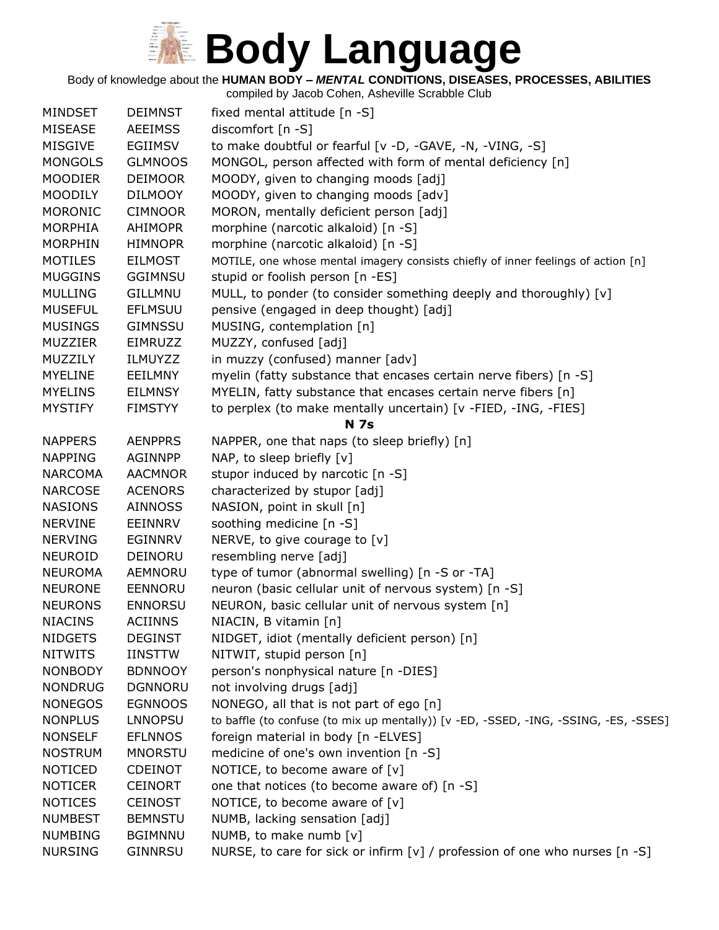Body of knowledge about the **HUMAN BODY –** *MENTAL* **CONDITIONS, DISEASES, PROCESSES, ABILITIES**

| <b>MINDSET</b> | <b>DEIMNST</b> | fixed mental attitude [n -S]                                                         |
|----------------|----------------|--------------------------------------------------------------------------------------|
| <b>MISEASE</b> | <b>AEEIMSS</b> | discomfort [n -S]                                                                    |
| <b>MISGIVE</b> | <b>EGIIMSV</b> | to make doubtful or fearful [v -D, -GAVE, -N, -VING, -S]                             |
| <b>MONGOLS</b> | <b>GLMNOOS</b> | MONGOL, person affected with form of mental deficiency [n]                           |
| <b>MOODIER</b> | <b>DEIMOOR</b> | MOODY, given to changing moods [adj]                                                 |
| <b>MOODILY</b> | <b>DILMOOY</b> | MOODY, given to changing moods [adv]                                                 |
| <b>MORONIC</b> | <b>CIMNOOR</b> | MORON, mentally deficient person [adj]                                               |
| <b>MORPHIA</b> | <b>AHIMOPR</b> | morphine (narcotic alkaloid) [n -S]                                                  |
| <b>MORPHIN</b> | <b>HIMNOPR</b> | morphine (narcotic alkaloid) [n -S]                                                  |
| <b>MOTILES</b> | <b>EILMOST</b> | MOTILE, one whose mental imagery consists chiefly of inner feelings of action [n]    |
| <b>MUGGINS</b> | <b>GGIMNSU</b> | stupid or foolish person [n -ES]                                                     |
| <b>MULLING</b> | <b>GILLMNU</b> | MULL, to ponder (to consider something deeply and thoroughly) [v]                    |
| <b>MUSEFUL</b> | <b>EFLMSUU</b> | pensive (engaged in deep thought) [adj]                                              |
| <b>MUSINGS</b> | <b>GIMNSSU</b> | MUSING, contemplation [n]                                                            |
| <b>MUZZIER</b> | EIMRUZZ        | MUZZY, confused [adj]                                                                |
| MUZZILY        | <b>ILMUYZZ</b> | in muzzy (confused) manner [adv]                                                     |
| <b>MYELINE</b> | <b>EEILMNY</b> | myelin (fatty substance that encases certain nerve fibers) [n -S]                    |
| <b>MYELINS</b> | <b>EILMNSY</b> | MYELIN, fatty substance that encases certain nerve fibers [n]                        |
| <b>MYSTIFY</b> | <b>FIMSTYY</b> | to perplex (to make mentally uncertain) [v -FIED, -ING, -FIES]                       |
|                |                | <b>N</b> 7s                                                                          |
| <b>NAPPERS</b> | <b>AENPPRS</b> | NAPPER, one that naps (to sleep briefly) [n]                                         |
| <b>NAPPING</b> | <b>AGINNPP</b> | NAP, to sleep briefly [v]                                                            |
| <b>NARCOMA</b> | <b>AACMNOR</b> | stupor induced by narcotic [n -S]                                                    |
| <b>NARCOSE</b> | <b>ACENORS</b> | characterized by stupor [adj]                                                        |
| <b>NASIONS</b> | <b>AINNOSS</b> | NASION, point in skull [n]                                                           |
| <b>NERVINE</b> | EEINNRV        | soothing medicine [n -S]                                                             |
| <b>NERVING</b> | <b>EGINNRV</b> | NERVE, to give courage to [v]                                                        |
| <b>NEUROID</b> | DEINORU        | resembling nerve [adj]                                                               |
| <b>NEUROMA</b> | AEMNORU        | type of tumor (abnormal swelling) [n -S or -TA]                                      |
| <b>NEURONE</b> | EENNORU        | neuron (basic cellular unit of nervous system) [n -S]                                |
| <b>NEURONS</b> | <b>ENNORSU</b> | NEURON, basic cellular unit of nervous system [n]                                    |
| <b>NIACINS</b> | <b>ACIINNS</b> | NIACIN, B vitamin [n]                                                                |
| <b>NIDGETS</b> | <b>DEGINST</b> | NIDGET, idiot (mentally deficient person) [n]                                        |
| <b>NITWITS</b> | <b>IINSTTW</b> | NITWIT, stupid person [n]                                                            |
| <b>NONBODY</b> | <b>BDNNOOY</b> | person's nonphysical nature [n -DIES]                                                |
| <b>NONDRUG</b> | <b>DGNNORU</b> | not involving drugs [adj]                                                            |
| <b>NONEGOS</b> | <b>EGNNOOS</b> | NONEGO, all that is not part of ego [n]                                              |
| <b>NONPLUS</b> | <b>LNNOPSU</b> | to baffle (to confuse (to mix up mentally)) [v -ED, -SSED, -ING, -SSING, -ES, -SSES] |
| <b>NONSELF</b> | <b>EFLNNOS</b> | foreign material in body [n -ELVES]                                                  |
| <b>NOSTRUM</b> | <b>MNORSTU</b> | medicine of one's own invention [n -S]                                               |
| <b>NOTICED</b> | <b>CDEINOT</b> | NOTICE, to become aware of $[v]$                                                     |
| <b>NOTICER</b> | <b>CEINORT</b> | one that notices (to become aware of) [n -S]                                         |
| <b>NOTICES</b> | <b>CEINOST</b> | NOTICE, to become aware of $[v]$                                                     |
| <b>NUMBEST</b> | <b>BEMNSTU</b> | NUMB, lacking sensation [adj]                                                        |
| <b>NUMBING</b> | <b>BGIMNNU</b> | NUMB, to make numb [v]                                                               |
| <b>NURSING</b> | <b>GINNRSU</b> | NURSE, to care for sick or infirm [v] / profession of one who nurses [n -S]          |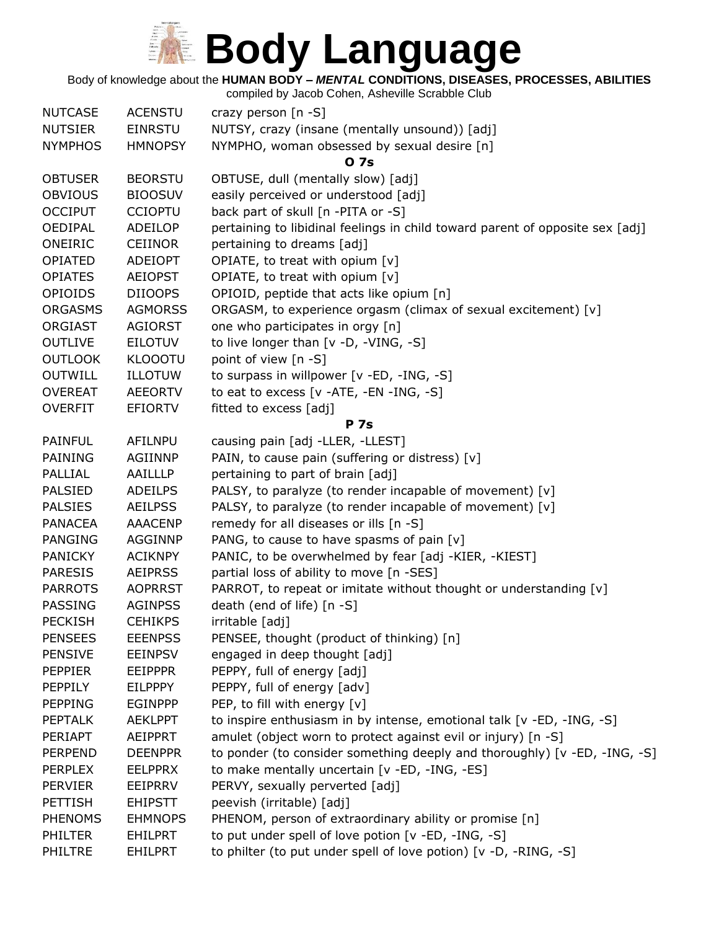Body of knowledge about the **HUMAN BODY –** *MENTAL* **CONDITIONS, DISEASES, PROCESSES, ABILITIES**

| <b>NUTCASE</b> | <b>ACENSTU</b> | crazy person [n -S]                                                           |
|----------------|----------------|-------------------------------------------------------------------------------|
| <b>NUTSIER</b> | <b>EINRSTU</b> | NUTSY, crazy (insane (mentally unsound)) [adj]                                |
| <b>NYMPHOS</b> | <b>HMNOPSY</b> | NYMPHO, woman obsessed by sexual desire [n]                                   |
|                |                | 0 7s                                                                          |
| <b>OBTUSER</b> | <b>BEORSTU</b> | OBTUSE, dull (mentally slow) [adj]                                            |
| <b>OBVIOUS</b> | <b>BIOOSUV</b> | easily perceived or understood [adj]                                          |
| <b>OCCIPUT</b> | <b>CCIOPTU</b> | back part of skull [n -PITA or -S]                                            |
| <b>OEDIPAL</b> | ADEILOP        | pertaining to libidinal feelings in child toward parent of opposite sex [adj] |
| ONEIRIC        | <b>CEIINOR</b> | pertaining to dreams [adj]                                                    |
| <b>OPIATED</b> | <b>ADEIOPT</b> | OPIATE, to treat with opium [v]                                               |
| <b>OPIATES</b> | <b>AEIOPST</b> | OPIATE, to treat with opium [v]                                               |
| <b>OPIOIDS</b> | <b>DIIOOPS</b> | OPIOID, peptide that acts like opium [n]                                      |
| <b>ORGASMS</b> | <b>AGMORSS</b> | ORGASM, to experience orgasm (climax of sexual excitement) [v]                |
| <b>ORGIAST</b> | <b>AGIORST</b> | one who participates in orgy [n]                                              |
| <b>OUTLIVE</b> | <b>EILOTUV</b> | to live longer than $[v -D, -VING, -S]$                                       |
| <b>OUTLOOK</b> | <b>KLOOOTU</b> | point of view [n -S]                                                          |
| <b>OUTWILL</b> | <b>ILLOTUW</b> | to surpass in willpower [v -ED, -ING, -S]                                     |
| <b>OVEREAT</b> | <b>AEEORTV</b> | to eat to excess $[v -ATE, -EN -ING, -S]$                                     |
| <b>OVERFIT</b> | <b>EFIORTV</b> | fitted to excess [adj]                                                        |
|                |                | <b>P</b> 7s                                                                   |
| <b>PAINFUL</b> | <b>AFILNPU</b> | causing pain [adj -LLER, -LLEST]                                              |
| PAINING        | <b>AGIINNP</b> | PAIN, to cause pain (suffering or distress) [v]                               |
| <b>PALLIAL</b> | AAILLLP        | pertaining to part of brain [adj]                                             |
| <b>PALSIED</b> | <b>ADEILPS</b> | PALSY, to paralyze (to render incapable of movement) [v]                      |
| <b>PALSIES</b> | <b>AEILPSS</b> | PALSY, to paralyze (to render incapable of movement) [v]                      |
| <b>PANACEA</b> | <b>AAACENP</b> | remedy for all diseases or ills [n -S]                                        |
| <b>PANGING</b> | <b>AGGINNP</b> | PANG, to cause to have spasms of pain [v]                                     |
| <b>PANICKY</b> | <b>ACIKNPY</b> | PANIC, to be overwhelmed by fear [adj -KIER, -KIEST]                          |
| <b>PARESIS</b> | <b>AEIPRSS</b> | partial loss of ability to move [n -SES]                                      |
| <b>PARROTS</b> | <b>AOPRRST</b> | PARROT, to repeat or imitate without thought or understanding [v]             |
| PASSING        | <b>AGINPSS</b> | death (end of life) [n -S]                                                    |
| <b>PECKISH</b> | <b>CEHIKPS</b> | irritable [adj]                                                               |
| <b>PENSEES</b> | <b>EEENPSS</b> | PENSEE, thought (product of thinking) [n]                                     |
| <b>PENSIVE</b> | <b>EEINPSV</b> | engaged in deep thought [adj]                                                 |
| <b>PEPPIER</b> | <b>EEIPPPR</b> | PEPPY, full of energy [adj]                                                   |
| <b>PEPPILY</b> | <b>EILPPPY</b> | PEPPY, full of energy [adv]                                                   |
| <b>PEPPING</b> | <b>EGINPPP</b> | PEP, to fill with energy [v]                                                  |
| <b>PEPTALK</b> | <b>AEKLPPT</b> | to inspire enthusiasm in by intense, emotional talk [v -ED, -ING, -S]         |
| <b>PERIAPT</b> | <b>AEIPPRT</b> | amulet (object worn to protect against evil or injury) [n -S]                 |
| <b>PERPEND</b> | <b>DEENPPR</b> | to ponder (to consider something deeply and thoroughly) [v -ED, -ING, -S]     |
| <b>PERPLEX</b> | <b>EELPPRX</b> | to make mentally uncertain [v -ED, -ING, -ES]                                 |
| <b>PERVIER</b> | EEIPRRV        | PERVY, sexually perverted [adj]                                               |
| <b>PETTISH</b> | <b>EHIPSTT</b> | peevish (irritable) [adj]                                                     |
| <b>PHENOMS</b> | <b>EHMNOPS</b> | PHENOM, person of extraordinary ability or promise [n]                        |
| <b>PHILTER</b> | <b>EHILPRT</b> | to put under spell of love potion [v -ED, -ING, -S]                           |
| PHILTRE        | <b>EHILPRT</b> | to philter (to put under spell of love potion) [v -D, -RING, -S]              |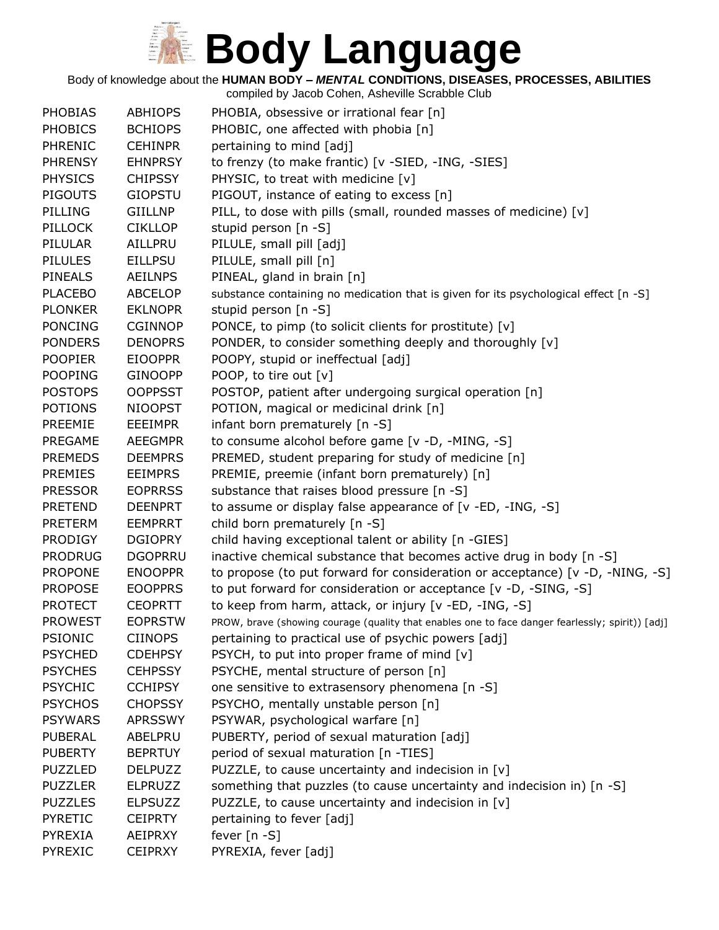Body of knowledge about the **HUMAN BODY –** *MENTAL* **CONDITIONS, DISEASES, PROCESSES, ABILITIES**

| <b>PHOBIAS</b> | <b>ABHIOPS</b> | PHOBIA, obsessive or irrational fear [n]                                                         |
|----------------|----------------|--------------------------------------------------------------------------------------------------|
| <b>PHOBICS</b> | <b>BCHIOPS</b> | PHOBIC, one affected with phobia [n]                                                             |
| <b>PHRENIC</b> | <b>CEHINPR</b> | pertaining to mind [adj]                                                                         |
| <b>PHRENSY</b> | <b>EHNPRSY</b> | to frenzy (to make frantic) [v -SIED, -ING, -SIES]                                               |
| <b>PHYSICS</b> | <b>CHIPSSY</b> | PHYSIC, to treat with medicine [v]                                                               |
| <b>PIGOUTS</b> | <b>GIOPSTU</b> | PIGOUT, instance of eating to excess [n]                                                         |
| PILLING        | <b>GIILLNP</b> | PILL, to dose with pills (small, rounded masses of medicine) [v]                                 |
| <b>PILLOCK</b> | <b>CIKLLOP</b> | stupid person $[n -S]$                                                                           |
| PILULAR        | AILLPRU        | PILULE, small pill [adj]                                                                         |
| <b>PILULES</b> | <b>EILLPSU</b> | PILULE, small pill [n]                                                                           |
| <b>PINEALS</b> | <b>AEILNPS</b> | PINEAL, gland in brain [n]                                                                       |
| <b>PLACEBO</b> | <b>ABCELOP</b> | substance containing no medication that is given for its psychological effect [n -S]             |
| <b>PLONKER</b> | <b>EKLNOPR</b> | stupid person [n -S]                                                                             |
| <b>PONCING</b> | <b>CGINNOP</b> | PONCE, to pimp (to solicit clients for prostitute) [v]                                           |
| <b>PONDERS</b> | <b>DENOPRS</b> | PONDER, to consider something deeply and thoroughly [v]                                          |
| <b>POOPIER</b> | <b>EIOOPPR</b> | POOPY, stupid or ineffectual [adj]                                                               |
| <b>POOPING</b> | <b>GINOOPP</b> | POOP, to tire out [v]                                                                            |
| <b>POSTOPS</b> | <b>OOPPSST</b> | POSTOP, patient after undergoing surgical operation [n]                                          |
| <b>POTIONS</b> | <b>NIOOPST</b> | POTION, magical or medicinal drink [n]                                                           |
| <b>PREEMIE</b> | <b>EEEIMPR</b> | infant born prematurely [n -S]                                                                   |
| <b>PREGAME</b> | <b>AEEGMPR</b> | to consume alcohol before game [v -D, -MING, -S]                                                 |
| <b>PREMEDS</b> | <b>DEEMPRS</b> |                                                                                                  |
| <b>PREMIES</b> | <b>EEIMPRS</b> | PREMED, student preparing for study of medicine [n]                                              |
|                |                | PREMIE, preemie (infant born prematurely) [n]                                                    |
| <b>PRESSOR</b> | <b>EOPRRSS</b> | substance that raises blood pressure [n -S]                                                      |
| <b>PRETEND</b> | <b>DEENPRT</b> | to assume or display false appearance of $[v - ED, -ING, -S]$                                    |
| <b>PRETERM</b> | <b>EEMPRRT</b> | child born prematurely [n -S]                                                                    |
| <b>PRODIGY</b> | <b>DGIOPRY</b> | child having exceptional talent or ability [n -GIES]                                             |
| <b>PRODRUG</b> | <b>DGOPRRU</b> | inactive chemical substance that becomes active drug in body [n -S]                              |
| <b>PROPONE</b> | <b>ENOOPPR</b> | to propose (to put forward for consideration or acceptance) [v -D, -NING, -S]                    |
| <b>PROPOSE</b> | <b>EOOPPRS</b> | to put forward for consideration or acceptance [v -D, -SING, -S]                                 |
| <b>PROTECT</b> | <b>CEOPRTT</b> | to keep from harm, attack, or injury [v -ED, -ING, -S]                                           |
| <b>PROWEST</b> | <b>EOPRSTW</b> | PROW, brave (showing courage (quality that enables one to face danger fearlessly; spirit)) [adj] |
| <b>PSIONIC</b> | <b>CIINOPS</b> | pertaining to practical use of psychic powers [adj]                                              |
| <b>PSYCHED</b> | <b>CDEHPSY</b> | PSYCH, to put into proper frame of mind [v]                                                      |
| <b>PSYCHES</b> | <b>CEHPSSY</b> | PSYCHE, mental structure of person [n]                                                           |
| <b>PSYCHIC</b> | <b>CCHIPSY</b> | one sensitive to extrasensory phenomena [n -S]                                                   |
| <b>PSYCHOS</b> | <b>CHOPSSY</b> | PSYCHO, mentally unstable person [n]                                                             |
| <b>PSYWARS</b> | <b>APRSSWY</b> | PSYWAR, psychological warfare [n]                                                                |
| PUBERAL        | ABELPRU        | PUBERTY, period of sexual maturation [adj]                                                       |
| <b>PUBERTY</b> | <b>BEPRTUY</b> | period of sexual maturation [n -TIES]                                                            |
| <b>PUZZLED</b> | <b>DELPUZZ</b> | PUZZLE, to cause uncertainty and indecision in $[v]$                                             |
| <b>PUZZLER</b> | <b>ELPRUZZ</b> | something that puzzles (to cause uncertainty and indecision in) [n -S]                           |
| <b>PUZZLES</b> | <b>ELPSUZZ</b> | PUZZLE, to cause uncertainty and indecision in $[v]$                                             |
| <b>PYRETIC</b> | <b>CEIPRTY</b> | pertaining to fever [adj]                                                                        |
| <b>PYREXIA</b> | <b>AEIPRXY</b> | fever $[n - S]$                                                                                  |
| <b>PYREXIC</b> | <b>CEIPRXY</b> | PYREXIA, fever [adj]                                                                             |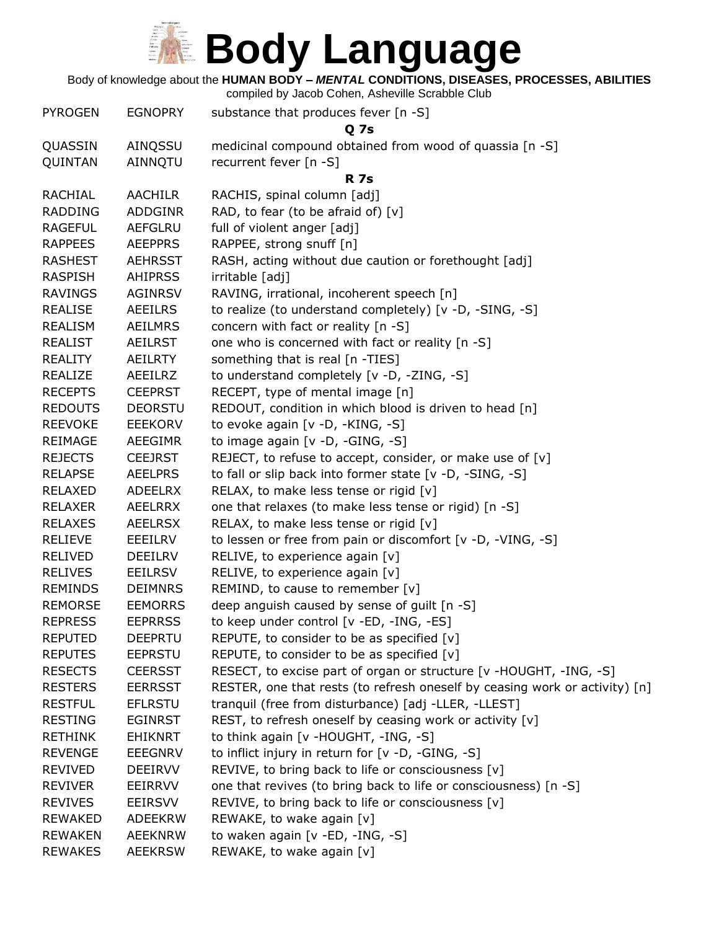

Body of knowledge about the **HUMAN BODY –** *MENTAL* **CONDITIONS, DISEASES, PROCESSES, ABILITIES**

| <b>PYROGEN</b> | <b>EGNOPRY</b> | substance that produces fever [n -S]<br><b>Q</b> 7s                         |
|----------------|----------------|-----------------------------------------------------------------------------|
| QUASSIN        | AINQSSU        | medicinal compound obtained from wood of quassia [n -S]                     |
| QUINTAN        | AINNQTU        | recurrent fever [n -S]                                                      |
|                |                | <b>R</b> 7s                                                                 |
| <b>RACHIAL</b> | <b>AACHILR</b> | RACHIS, spinal column [adj]                                                 |
| <b>RADDING</b> | <b>ADDGINR</b> | RAD, to fear (to be afraid of) $[v]$                                        |
| <b>RAGEFUL</b> | <b>AEFGLRU</b> | full of violent anger [adj]                                                 |
| <b>RAPPEES</b> | <b>AEEPPRS</b> | RAPPEE, strong snuff [n]                                                    |
| <b>RASHEST</b> | <b>AEHRSST</b> | RASH, acting without due caution or forethought [adj]                       |
| <b>RASPISH</b> | <b>AHIPRSS</b> | irritable [adj]                                                             |
| <b>RAVINGS</b> | AGINRSV        | RAVING, irrational, incoherent speech [n]                                   |
| <b>REALISE</b> | <b>AEEILRS</b> | to realize (to understand completely) [v -D, -SING, -S]                     |
| REALISM        | <b>AEILMRS</b> | concern with fact or reality [n -S]                                         |
| <b>REALIST</b> | <b>AEILRST</b> | one who is concerned with fact or reality [n -S]                            |
| <b>REALITY</b> | <b>AEILRTY</b> | something that is real [n -TIES]                                            |
| <b>REALIZE</b> | AEEILRZ        | to understand completely [v -D, -ZING, -S]                                  |
| <b>RECEPTS</b> | <b>CEEPRST</b> | RECEPT, type of mental image [n]                                            |
| <b>REDOUTS</b> | <b>DEORSTU</b> | REDOUT, condition in which blood is driven to head [n]                      |
| <b>REEVOKE</b> | <b>EEEKORV</b> | to evoke again [v -D, -KING, -S]                                            |
| <b>REIMAGE</b> | AEEGIMR        | to image again [v -D, -GING, -S]                                            |
| <b>REJECTS</b> | <b>CEEJRST</b> | REJECT, to refuse to accept, consider, or make use of [v]                   |
| <b>RELAPSE</b> | <b>AEELPRS</b> | to fall or slip back into former state [v -D, -SING, -S]                    |
| <b>RELAXED</b> | <b>ADEELRX</b> | RELAX, to make less tense or rigid [v]                                      |
| <b>RELAXER</b> | <b>AEELRRX</b> | one that relaxes (to make less tense or rigid) [n -S]                       |
| <b>RELAXES</b> | <b>AEELRSX</b> | RELAX, to make less tense or rigid [v]                                      |
| <b>RELIEVE</b> | EEEILRV        | to lessen or free from pain or discomfort [v -D, -VING, -S]                 |
| <b>RELIVED</b> | <b>DEEILRV</b> | RELIVE, to experience again [v]                                             |
| <b>RELIVES</b> | <b>EEILRSV</b> | RELIVE, to experience again [v]                                             |
| <b>REMINDS</b> | <b>DEIMNRS</b> | REMIND, to cause to remember [v]                                            |
| <b>REMORSE</b> | <b>EEMORRS</b> | deep anguish caused by sense of guilt [n -S]                                |
| <b>REPRESS</b> | <b>EEPRRSS</b> | to keep under control [v -ED, -ING, -ES]                                    |
| <b>REPUTED</b> | <b>DEEPRTU</b> | REPUTE, to consider to be as specified [v]                                  |
| <b>REPUTES</b> | <b>EEPRSTU</b> | REPUTE, to consider to be as specified $[v]$                                |
| <b>RESECTS</b> | <b>CEERSST</b> | RESECT, to excise part of organ or structure [v -HOUGHT, -ING, -S]          |
| <b>RESTERS</b> | <b>EERRSST</b> | RESTER, one that rests (to refresh oneself by ceasing work or activity) [n] |
| <b>RESTFUL</b> | <b>EFLRSTU</b> | tranquil (free from disturbance) [adj -LLER, -LLEST]                        |
| <b>RESTING</b> | <b>EGINRST</b> | REST, to refresh oneself by ceasing work or activity [v]                    |
| <b>RETHINK</b> | <b>EHIKNRT</b> | to think again [v -HOUGHT, -ING, -S]                                        |
| <b>REVENGE</b> | <b>EEEGNRV</b> | to inflict injury in return for [v -D, -GING, -S]                           |
| <b>REVIVED</b> | <b>DEEIRVV</b> | REVIVE, to bring back to life or consciousness $[v]$                        |
| <b>REVIVER</b> | <b>EEIRRVV</b> | one that revives (to bring back to life or consciousness) [n -S]            |
| <b>REVIVES</b> | <b>EEIRSVV</b> | REVIVE, to bring back to life or consciousness [v]                          |
| <b>REWAKED</b> | <b>ADEEKRW</b> | REWAKE, to wake again [v]                                                   |
| <b>REWAKEN</b> | <b>AEEKNRW</b> | to waken again [v -ED, -ING, -S]                                            |
| <b>REWAKES</b> | <b>AEEKRSW</b> | REWAKE, to wake again [v]                                                   |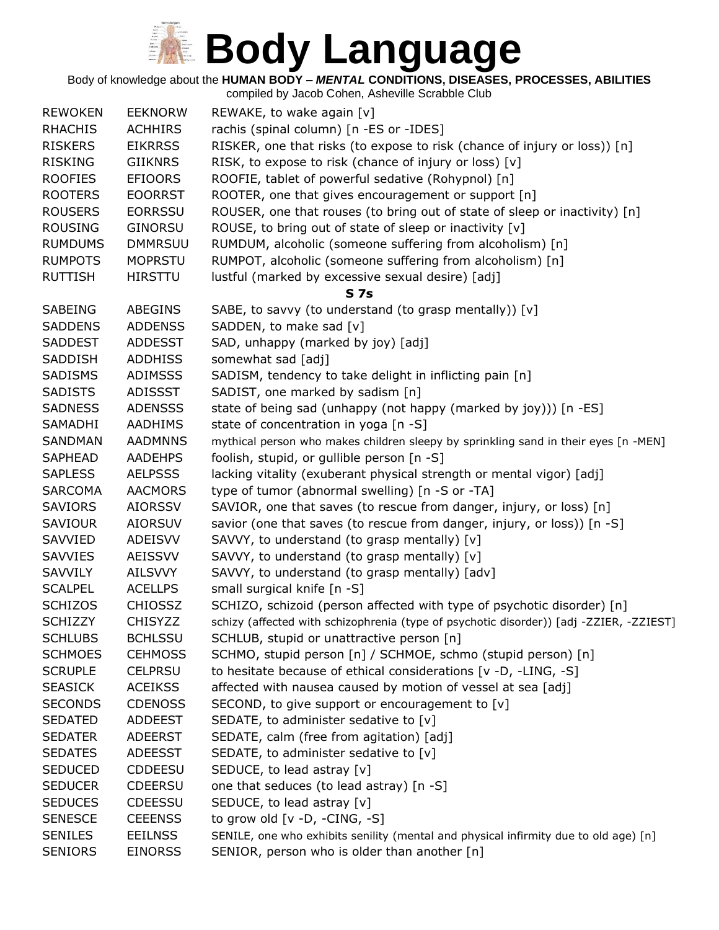Body of knowledge about the **HUMAN BODY –** *MENTAL* **CONDITIONS, DISEASES, PROCESSES, ABILITIES** compiled by Jacob Cohen, Asheville Scrabble Club

|                                  |                                  | $\frac{1}{2}$ . The state of $\frac{1}{2}$ is the state of $\frac{1}{2}$ . The state of $\frac{1}{2}$ |
|----------------------------------|----------------------------------|-------------------------------------------------------------------------------------------------------|
| <b>REWOKEN</b>                   | <b>EEKNORW</b>                   | REWAKE, to wake again [v]                                                                             |
| <b>RHACHIS</b>                   | <b>ACHHIRS</b>                   | rachis (spinal column) [n -ES or -IDES]                                                               |
| <b>RISKERS</b>                   | <b>EIKRRSS</b>                   | RISKER, one that risks (to expose to risk (chance of injury or loss)) [n]                             |
| <b>RISKING</b>                   | <b>GIIKNRS</b>                   | RISK, to expose to risk (chance of injury or loss) [v]                                                |
| <b>ROOFIES</b>                   | <b>EFIOORS</b>                   | ROOFIE, tablet of powerful sedative (Rohypnol) [n]                                                    |
| <b>ROOTERS</b>                   | <b>EOORRST</b>                   | ROOTER, one that gives encouragement or support [n]                                                   |
| <b>ROUSERS</b>                   | <b>EORRSSU</b>                   | ROUSER, one that rouses (to bring out of state of sleep or inactivity) [n]                            |
| <b>ROUSING</b>                   | <b>GINORSU</b>                   | ROUSE, to bring out of state of sleep or inactivity [v]                                               |
| <b>RUMDUMS</b>                   | <b>DMMRSUU</b>                   | RUMDUM, alcoholic (someone suffering from alcoholism) [n]                                             |
| <b>RUMPOTS</b>                   | <b>MOPRSTU</b>                   | RUMPOT, alcoholic (someone suffering from alcoholism) [n]                                             |
| <b>RUTTISH</b>                   | <b>HIRSTTU</b>                   | lustful (marked by excessive sexual desire) [adj]                                                     |
|                                  |                                  | <b>S7s</b>                                                                                            |
| <b>SABEING</b>                   | <b>ABEGINS</b>                   | SABE, to savvy (to understand (to grasp mentally)) [v]                                                |
| <b>SADDENS</b>                   | <b>ADDENSS</b>                   | SADDEN, to make sad [v]                                                                               |
| <b>SADDEST</b>                   | <b>ADDESST</b>                   | SAD, unhappy (marked by joy) [adj]                                                                    |
| SADDISH                          | <b>ADDHISS</b>                   | somewhat sad [adj]                                                                                    |
| <b>SADISMS</b>                   | <b>ADIMSSS</b>                   | SADISM, tendency to take delight in inflicting pain [n]                                               |
| <b>SADISTS</b>                   | <b>ADISSST</b>                   | SADIST, one marked by sadism [n]                                                                      |
| <b>SADNESS</b>                   | <b>ADENSSS</b>                   | state of being sad (unhappy (not happy (marked by joy))) [n -ES]                                      |
| SAMADHI                          | <b>AADHIMS</b>                   | state of concentration in yoga [n -S]                                                                 |
| SANDMAN                          | <b>AADMNNS</b>                   | mythical person who makes children sleepy by sprinkling sand in their eyes [n -MEN]                   |
| <b>SAPHEAD</b>                   | <b>AADEHPS</b>                   | foolish, stupid, or gullible person [n -S]                                                            |
| <b>SAPLESS</b>                   | <b>AELPSSS</b>                   | lacking vitality (exuberant physical strength or mental vigor) [adj]                                  |
| <b>SARCOMA</b>                   | <b>AACMORS</b>                   | type of tumor (abnormal swelling) [n -S or -TA]                                                       |
| <b>SAVIORS</b>                   | <b>AIORSSV</b>                   | SAVIOR, one that saves (to rescue from danger, injury, or loss) [n]                                   |
| <b>SAVIOUR</b>                   | <b>AIORSUV</b>                   | savior (one that saves (to rescue from danger, injury, or loss)) [n -S]                               |
| SAVVIED                          | ADEISVV                          | SAVVY, to understand (to grasp mentally) [v]                                                          |
| <b>SAVVIES</b>                   | AEISSVV                          | SAVVY, to understand (to grasp mentally) [v]                                                          |
| SAVVILY                          | AILSVVY                          | SAVVY, to understand (to grasp mentally) [adv]                                                        |
| <b>SCALPEL</b>                   | <b>ACELLPS</b>                   | small surgical knife [n -S]                                                                           |
| <b>SCHIZOS</b>                   | <b>CHIOSSZ</b>                   | SCHIZO, schizoid (person affected with type of psychotic disorder) [n]                                |
| <b>SCHIZZY</b>                   | <b>CHISYZZ</b>                   | schizy (affected with schizophrenia (type of psychotic disorder)) [adj -ZZIER, -ZZIEST]               |
| <b>SCHLUBS</b>                   | <b>BCHLSSU</b>                   | SCHLUB, stupid or unattractive person [n]                                                             |
| <b>SCHMOES</b>                   | <b>CEHMOSS</b>                   | SCHMO, stupid person [n] / SCHMOE, schmo (stupid person) [n]                                          |
| <b>SCRUPLE</b>                   | <b>CELPRSU</b>                   | to hesitate because of ethical considerations [v -D, -LING, -S]                                       |
| <b>SEASICK</b>                   | <b>ACEIKSS</b>                   | affected with nausea caused by motion of vessel at sea [adj]                                          |
| <b>SECONDS</b>                   | <b>CDENOSS</b>                   | SECOND, to give support or encouragement to [v]                                                       |
| <b>SEDATED</b>                   | <b>ADDEEST</b>                   | SEDATE, to administer sedative to [v]                                                                 |
| <b>SEDATER</b>                   | <b>ADEERST</b>                   | SEDATE, calm (free from agitation) [adj]                                                              |
| <b>SEDATES</b>                   | <b>ADEESST</b>                   | SEDATE, to administer sedative to [v]                                                                 |
| <b>SEDUCED</b>                   | <b>CDDEESU</b>                   | SEDUCE, to lead astray [v]                                                                            |
| <b>SEDUCER</b><br><b>SEDUCES</b> | <b>CDEERSU</b><br><b>CDEESSU</b> | one that seduces (to lead astray) [n -S]<br>SEDUCE, to lead astray [v]                                |
| <b>SENESCE</b>                   | <b>CEEENSS</b>                   | to grow old $[v -D, -CING, -S]$                                                                       |
|                                  |                                  |                                                                                                       |
| <b>SENILES</b>                   | <b>EEILNSS</b>                   | SENILE, one who exhibits senility (mental and physical infirmity due to old age) [n]                  |
| <b>SENIORS</b>                   | <b>EINORSS</b>                   | SENIOR, person who is older than another [n]                                                          |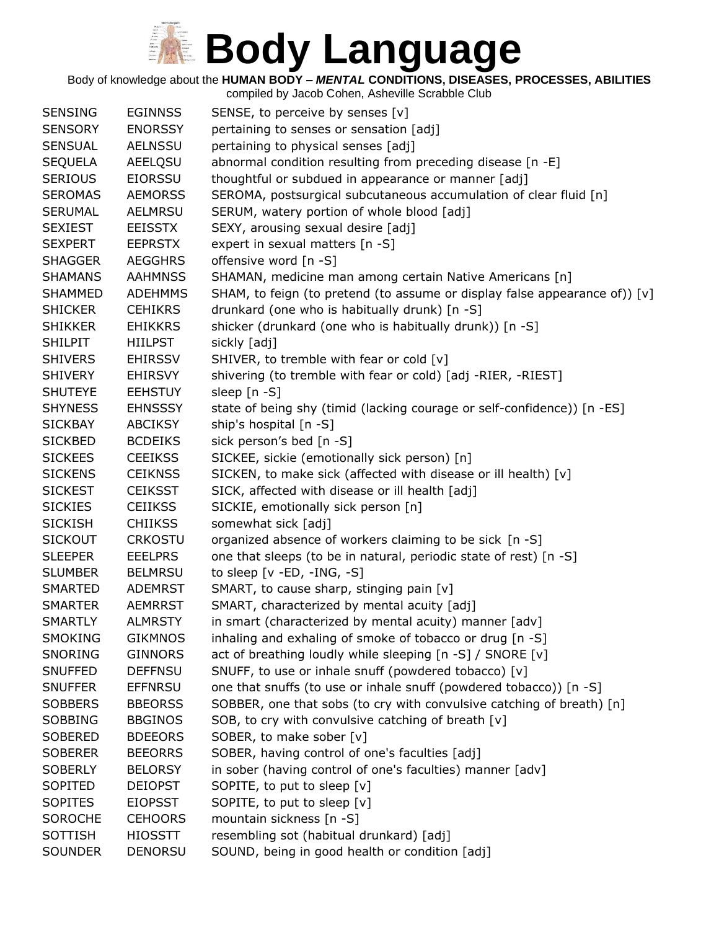Body of knowledge about the **HUMAN BODY –** *MENTAL* **CONDITIONS, DISEASES, PROCESSES, ABILITIES**

| <b>SENSING</b> | <b>EGINNSS</b> | SENSE, to perceive by senses [v]                                           |
|----------------|----------------|----------------------------------------------------------------------------|
| <b>SENSORY</b> | <b>ENORSSY</b> | pertaining to senses or sensation [adj]                                    |
| <b>SENSUAL</b> | <b>AELNSSU</b> | pertaining to physical senses [adj]                                        |
| <b>SEQUELA</b> | <b>AEELQSU</b> | abnormal condition resulting from preceding disease [n -E]                 |
| <b>SERIOUS</b> | <b>EIORSSU</b> | thoughtful or subdued in appearance or manner [adj]                        |
| <b>SEROMAS</b> | <b>AEMORSS</b> | SEROMA, postsurgical subcutaneous accumulation of clear fluid [n]          |
| <b>SERUMAL</b> | AELMRSU        | SERUM, watery portion of whole blood [adj]                                 |
| <b>SEXIEST</b> | <b>EEISSTX</b> | SEXY, arousing sexual desire [adj]                                         |
| <b>SEXPERT</b> | <b>EEPRSTX</b> | expert in sexual matters [n -S]                                            |
| <b>SHAGGER</b> | <b>AEGGHRS</b> | offensive word [n -S]                                                      |
| <b>SHAMANS</b> | <b>AAHMNSS</b> | SHAMAN, medicine man among certain Native Americans [n]                    |
| <b>SHAMMED</b> | <b>ADEHMMS</b> | SHAM, to feign (to pretend (to assume or display false appearance of)) [v] |
| <b>SHICKER</b> | <b>CEHIKRS</b> | drunkard (one who is habitually drunk) [n -S]                              |
| <b>SHIKKER</b> | <b>EHIKKRS</b> | shicker (drunkard (one who is habitually drunk)) [n -S]                    |
| <b>SHILPIT</b> | <b>HIILPST</b> | sickly [adj]                                                               |
| <b>SHIVERS</b> | <b>EHIRSSV</b> | SHIVER, to tremble with fear or cold [v]                                   |
| <b>SHIVERY</b> | <b>EHIRSVY</b> | shivering (to tremble with fear or cold) [adj -RIER, -RIEST]               |
| <b>SHUTEYE</b> | <b>EEHSTUY</b> | sleep [n -S]                                                               |
| <b>SHYNESS</b> | <b>EHNSSSY</b> | state of being shy (timid (lacking courage or self-confidence)) [n -ES]    |
| <b>SICKBAY</b> | <b>ABCIKSY</b> | ship's hospital [n -S]                                                     |
| <b>SICKBED</b> | <b>BCDEIKS</b> | sick person's bed [n -S]                                                   |
| <b>SICKEES</b> | <b>CEEIKSS</b> | SICKEE, sickie (emotionally sick person) [n]                               |
| <b>SICKENS</b> | <b>CEIKNSS</b> | SICKEN, to make sick (affected with disease or ill health) [v]             |
| <b>SICKEST</b> | <b>CEIKSST</b> | SICK, affected with disease or ill health [adj]                            |
| <b>SICKIES</b> | <b>CEIIKSS</b> | SICKIE, emotionally sick person [n]                                        |
| <b>SICKISH</b> | <b>CHIIKSS</b> | somewhat sick [adj]                                                        |
| <b>SICKOUT</b> | <b>CRKOSTU</b> | organized absence of workers claiming to be sick [n -S]                    |
| <b>SLEEPER</b> | <b>EEELPRS</b> | one that sleeps (to be in natural, periodic state of rest) [n -S]          |
| <b>SLUMBER</b> | <b>BELMRSU</b> | to sleep $[v - ED, -ING, -S]$                                              |
| <b>SMARTED</b> | <b>ADEMRST</b> | SMART, to cause sharp, stinging pain [v]                                   |
| <b>SMARTER</b> | <b>AEMRRST</b> | SMART, characterized by mental acuity [adj]                                |
| <b>SMARTLY</b> | <b>ALMRSTY</b> | in smart (characterized by mental acuity) manner [adv]                     |
| <b>SMOKING</b> | <b>GIKMNOS</b> | inhaling and exhaling of smoke of tobacco or drug [n -S]                   |
| SNORING        | <b>GINNORS</b> | act of breathing loudly while sleeping [n -S] / SNORE [v]                  |
| <b>SNUFFED</b> | <b>DEFFNSU</b> | SNUFF, to use or inhale snuff (powdered tobacco) [v]                       |
| <b>SNUFFER</b> | <b>EFFNRSU</b> | one that snuffs (to use or inhale snuff (powdered tobacco)) [n -S]         |
| <b>SOBBERS</b> | <b>BBEORSS</b> | SOBBER, one that sobs (to cry with convulsive catching of breath) [n]      |
| <b>SOBBING</b> | <b>BBGINOS</b> | SOB, to cry with convulsive catching of breath [v]                         |
| <b>SOBERED</b> | <b>BDEEORS</b> | SOBER, to make sober [v]                                                   |
| <b>SOBERER</b> | <b>BEEORRS</b> | SOBER, having control of one's faculties [adj]                             |
| <b>SOBERLY</b> | <b>BELORSY</b> | in sober (having control of one's faculties) manner [adv]                  |
| SOPITED        | <b>DEIOPST</b> | SOPITE, to put to sleep [v]                                                |
| <b>SOPITES</b> | <b>EIOPSST</b> | SOPITE, to put to sleep [v]                                                |
| <b>SOROCHE</b> | <b>CEHOORS</b> | mountain sickness [n -S]                                                   |
| <b>SOTTISH</b> | <b>HIOSSTT</b> | resembling sot (habitual drunkard) [adj]                                   |
| <b>SOUNDER</b> | <b>DENORSU</b> | SOUND, being in good health or condition [adj]                             |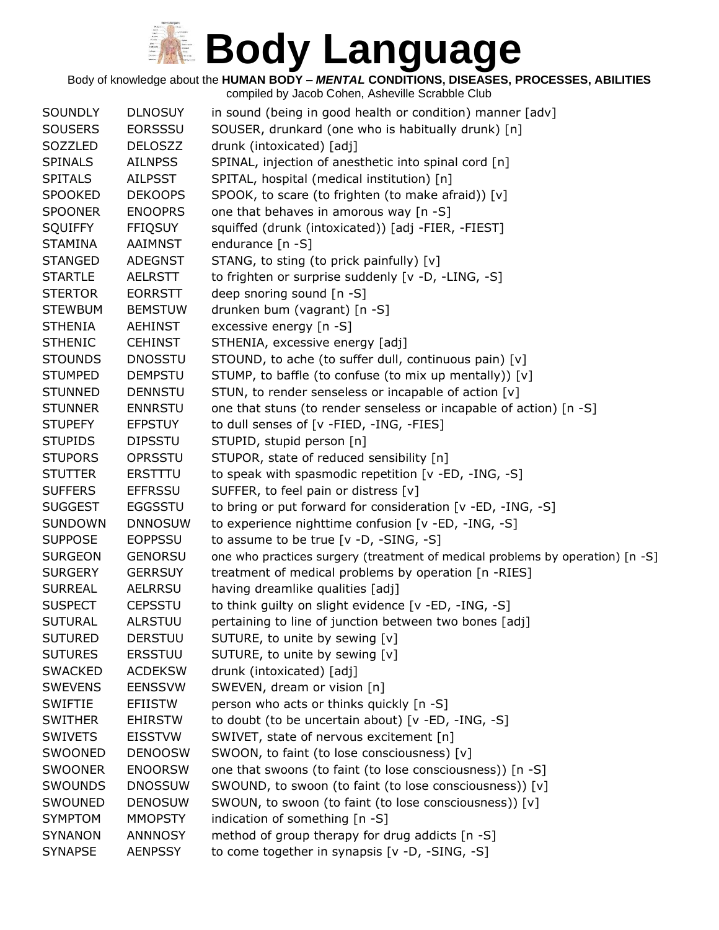Body of knowledge about the **HUMAN BODY –** *MENTAL* **CONDITIONS, DISEASES, PROCESSES, ABILITIES**

| <b>SOUNDLY</b> | <b>DLNOSUY</b> | in sound (being in good health or condition) manner [adv]                     |
|----------------|----------------|-------------------------------------------------------------------------------|
| <b>SOUSERS</b> | <b>EORSSSU</b> | SOUSER, drunkard (one who is habitually drunk) [n]                            |
| SOZZLED        | <b>DELOSZZ</b> | drunk (intoxicated) [adj]                                                     |
| <b>SPINALS</b> | <b>AILNPSS</b> | SPINAL, injection of anesthetic into spinal cord [n]                          |
| <b>SPITALS</b> | <b>AILPSST</b> | SPITAL, hospital (medical institution) [n]                                    |
| <b>SPOOKED</b> | <b>DEKOOPS</b> | SPOOK, to scare (to frighten (to make afraid)) [v]                            |
| <b>SPOONER</b> | <b>ENOOPRS</b> | one that behaves in amorous way [n -S]                                        |
| <b>SQUIFFY</b> | <b>FFIQSUY</b> | squiffed (drunk (intoxicated)) [adj -FIER, -FIEST]                            |
| <b>STAMINA</b> | <b>AAIMNST</b> | endurance [n -S]                                                              |
| <b>STANGED</b> | <b>ADEGNST</b> | STANG, to sting (to prick painfully) [v]                                      |
| <b>STARTLE</b> | <b>AELRSTT</b> | to frighten or surprise suddenly [v -D, -LING, -S]                            |
| <b>STERTOR</b> | <b>EORRSTT</b> | deep snoring sound [n -S]                                                     |
| <b>STEWBUM</b> | <b>BEMSTUW</b> | drunken bum (vagrant) [n -S]                                                  |
| <b>STHENIA</b> | <b>AEHINST</b> | excessive energy [n -S]                                                       |
| <b>STHENIC</b> | <b>CEHINST</b> | STHENIA, excessive energy [adj]                                               |
| <b>STOUNDS</b> | <b>DNOSSTU</b> | STOUND, to ache (to suffer dull, continuous pain) [v]                         |
| <b>STUMPED</b> | <b>DEMPSTU</b> | STUMP, to baffle (to confuse (to mix up mentally)) [v]                        |
| <b>STUNNED</b> | <b>DENNSTU</b> | STUN, to render senseless or incapable of action [v]                          |
| <b>STUNNER</b> | <b>ENNRSTU</b> | one that stuns (to render senseless or incapable of action) [n -S]            |
| <b>STUPEFY</b> | <b>EFPSTUY</b> | to dull senses of [v -FIED, -ING, -FIES]                                      |
| <b>STUPIDS</b> | <b>DIPSSTU</b> | STUPID, stupid person [n]                                                     |
| <b>STUPORS</b> | OPRSSTU        | STUPOR, state of reduced sensibility [n]                                      |
| <b>STUTTER</b> | <b>ERSTTTU</b> | to speak with spasmodic repetition [v -ED, -ING, -S]                          |
| <b>SUFFERS</b> | <b>EFFRSSU</b> | SUFFER, to feel pain or distress [v]                                          |
| <b>SUGGEST</b> | <b>EGGSSTU</b> | to bring or put forward for consideration [v -ED, -ING, -S]                   |
| <b>SUNDOWN</b> | <b>DNNOSUW</b> | to experience nighttime confusion [v -ED, -ING, -S]                           |
| <b>SUPPOSE</b> | <b>EOPPSSU</b> | to assume to be true $[v -D, -SING, -S]$                                      |
| <b>SURGEON</b> | <b>GENORSU</b> | one who practices surgery (treatment of medical problems by operation) [n -S] |
| <b>SURGERY</b> | <b>GERRSUY</b> | treatment of medical problems by operation [n -RIES]                          |
| <b>SURREAL</b> | <b>AELRRSU</b> | having dreamlike qualities [adj]                                              |
| <b>SUSPECT</b> | <b>CEPSSTU</b> | to think guilty on slight evidence [v -ED, -ING, -S]                          |
| <b>SUTURAL</b> | <b>ALRSTUU</b> | pertaining to line of junction between two bones [adj]                        |
| <b>SUTURED</b> | <b>DERSTUU</b> | SUTURE, to unite by sewing [v]                                                |
| <b>SUTURES</b> | <b>ERSSTUU</b> | SUTURE, to unite by sewing [v]                                                |
| <b>SWACKED</b> | <b>ACDEKSW</b> | drunk (intoxicated) [adj]                                                     |
| <b>SWEVENS</b> | <b>EENSSVW</b> | SWEVEN, dream or vision [n]                                                   |
| <b>SWIFTIE</b> | <b>EFIISTW</b> | person who acts or thinks quickly [n -S]                                      |
| <b>SWITHER</b> | <b>EHIRSTW</b> | to doubt (to be uncertain about) [v -ED, -ING, -S]                            |
| <b>SWIVETS</b> | <b>EISSTVW</b> | SWIVET, state of nervous excitement [n]                                       |
| SWOONED        | <b>DENOOSW</b> | SWOON, to faint (to lose consciousness) [v]                                   |
| <b>SWOONER</b> | <b>ENOORSW</b> | one that swoons (to faint (to lose consciousness)) [n -S]                     |
| <b>SWOUNDS</b> | <b>DNOSSUW</b> | SWOUND, to swoon (to faint (to lose consciousness)) [v]                       |
| SWOUNED        | <b>DENOSUW</b> | SWOUN, to swoon (to faint (to lose consciousness)) [v]                        |
| <b>SYMPTOM</b> | <b>MMOPSTY</b> | indication of something [n -S]                                                |
| <b>SYNANON</b> | <b>ANNNOSY</b> | method of group therapy for drug addicts [n -S]                               |
| <b>SYNAPSE</b> | <b>AENPSSY</b> | to come together in synapsis [v -D, -SING, -S]                                |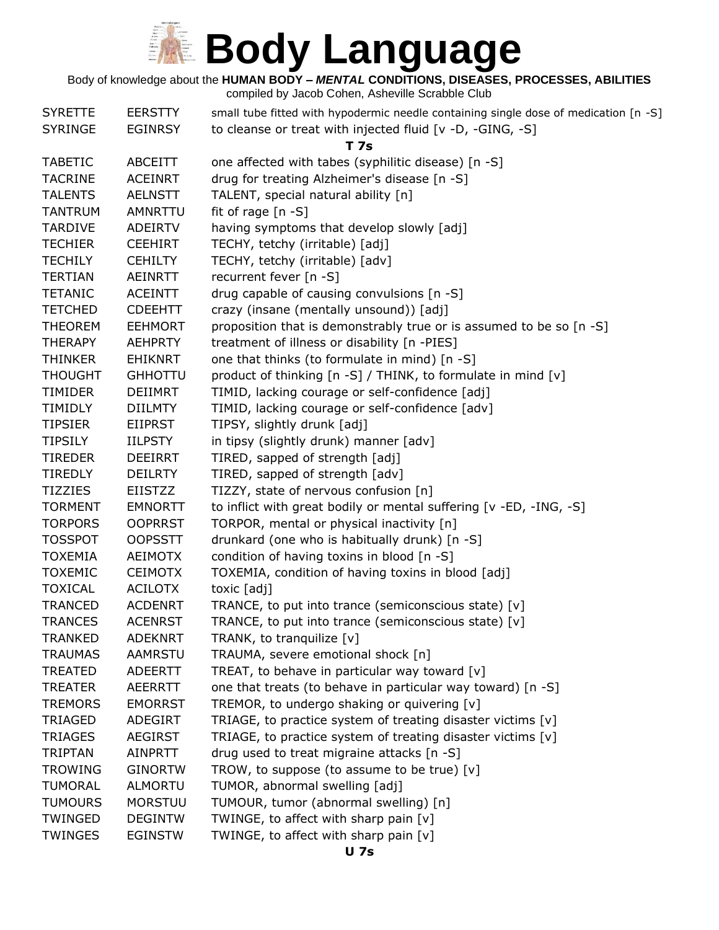## **KE Body Language**

E

Body of knowledge about the **HUMAN BODY –** *MENTAL* **CONDITIONS, DISEASES, PROCESSES, ABILITIES**

| <b>SYRETTE</b><br><b>SYRINGE</b> | <b>EERSTTY</b><br><b>EGINRSY</b> | small tube fitted with hypodermic needle containing single dose of medication [n -S]<br>to cleanse or treat with injected fluid [v -D, -GING, -S] |
|----------------------------------|----------------------------------|---------------------------------------------------------------------------------------------------------------------------------------------------|
|                                  |                                  | <b>T</b> 7s                                                                                                                                       |
| <b>TABETIC</b>                   | <b>ABCEITT</b>                   | one affected with tabes (syphilitic disease) [n -S]                                                                                               |
| <b>TACRINE</b>                   | <b>ACEINRT</b>                   | drug for treating Alzheimer's disease [n -S]                                                                                                      |
| <b>TALENTS</b>                   | <b>AELNSTT</b>                   | TALENT, special natural ability [n]                                                                                                               |
| <b>TANTRUM</b>                   | AMNRTTU                          | fit of rage $[n -S]$                                                                                                                              |
| <b>TARDIVE</b>                   | <b>ADEIRTV</b>                   | having symptoms that develop slowly [adj]                                                                                                         |
| <b>TECHIER</b>                   | <b>CEEHIRT</b>                   | TECHY, tetchy (irritable) [adj]                                                                                                                   |
| <b>TECHILY</b>                   | <b>CEHILTY</b>                   | TECHY, tetchy (irritable) [adv]                                                                                                                   |
| <b>TERTIAN</b>                   | AEINRTT                          | recurrent fever [n -S]                                                                                                                            |
| <b>TETANIC</b>                   | <b>ACEINTT</b>                   | drug capable of causing convulsions [n -S]                                                                                                        |
| <b>TETCHED</b>                   | <b>CDEEHTT</b>                   | crazy (insane (mentally unsound)) [adj]                                                                                                           |
| <b>THEOREM</b>                   | <b>EEHMORT</b>                   | proposition that is demonstrably true or is assumed to be so [n -S]                                                                               |
| <b>THERAPY</b>                   | <b>AEHPRTY</b>                   | treatment of illness or disability [n -PIES]                                                                                                      |
| <b>THINKER</b>                   | <b>EHIKNRT</b>                   | one that thinks (to formulate in mind) [n -S]                                                                                                     |
| <b>THOUGHT</b>                   | <b>GHHOTTU</b>                   | product of thinking [n -S] / THINK, to formulate in mind [v]                                                                                      |
| <b>TIMIDER</b>                   | <b>DEIIMRT</b>                   | TIMID, lacking courage or self-confidence [adj]                                                                                                   |
| TIMIDLY                          | <b>DIILMTY</b>                   | TIMID, lacking courage or self-confidence [adv]                                                                                                   |
| <b>TIPSIER</b>                   | EIIPRST                          | TIPSY, slightly drunk [adj]                                                                                                                       |
| <b>TIPSILY</b>                   | <b>IILPSTY</b>                   | in tipsy (slightly drunk) manner [adv]                                                                                                            |
| <b>TIREDER</b>                   | <b>DEEIRRT</b>                   | TIRED, sapped of strength [adj]                                                                                                                   |
| <b>TIREDLY</b>                   | <b>DEILRTY</b>                   | TIRED, sapped of strength [adv]                                                                                                                   |
| <b>TIZZIES</b>                   | <b>EIISTZZ</b>                   | TIZZY, state of nervous confusion [n]                                                                                                             |
| <b>TORMENT</b>                   | <b>EMNORTT</b>                   | to inflict with great bodily or mental suffering [v -ED, -ING, -S]                                                                                |
| <b>TORPORS</b>                   | <b>OOPRRST</b>                   | TORPOR, mental or physical inactivity [n]                                                                                                         |
| <b>TOSSPOT</b>                   | <b>OOPSSTT</b>                   | drunkard (one who is habitually drunk) [n -S]                                                                                                     |
| <b>TOXEMIA</b>                   | <b>AEIMOTX</b>                   | condition of having toxins in blood [n -S]                                                                                                        |
| <b>TOXEMIC</b>                   | <b>CEIMOTX</b>                   | TOXEMIA, condition of having toxins in blood [adj]                                                                                                |
| <b>TOXICAL</b>                   | <b>ACILOTX</b>                   | toxic [adj]                                                                                                                                       |
| <b>TRANCED</b>                   | <b>ACDENRT</b>                   | TRANCE, to put into trance (semiconscious state) [v]                                                                                              |
| <b>TRANCES</b>                   | <b>ACENRST</b>                   | TRANCE, to put into trance (semiconscious state) [v]                                                                                              |
| <b>TRANKED</b>                   | <b>ADEKNRT</b>                   | TRANK, to tranquilize [v]                                                                                                                         |
| <b>TRAUMAS</b>                   | <b>AAMRSTU</b>                   | TRAUMA, severe emotional shock [n]                                                                                                                |
| <b>TREATED</b>                   | <b>ADEERTT</b>                   | TREAT, to behave in particular way toward [v]                                                                                                     |
| <b>TREATER</b>                   | <b>AEERRTT</b>                   | one that treats (to behave in particular way toward) [n -S]                                                                                       |
| <b>TREMORS</b>                   | <b>EMORRST</b>                   | TREMOR, to undergo shaking or quivering [v]                                                                                                       |
| <b>TRIAGED</b>                   | ADEGIRT                          | TRIAGE, to practice system of treating disaster victims [v]                                                                                       |
| <b>TRIAGES</b>                   | <b>AEGIRST</b>                   | TRIAGE, to practice system of treating disaster victims [v]                                                                                       |
| <b>TRIPTAN</b>                   | <b>AINPRTT</b>                   | drug used to treat migraine attacks [n -S]                                                                                                        |
| <b>TROWING</b>                   | <b>GINORTW</b>                   | TROW, to suppose (to assume to be true) $[v]$                                                                                                     |
| <b>TUMORAL</b>                   | <b>ALMORTU</b>                   | TUMOR, abnormal swelling [adj]                                                                                                                    |
| <b>TUMOURS</b>                   | <b>MORSTUU</b>                   | TUMOUR, tumor (abnormal swelling) [n]                                                                                                             |
| TWINGED                          | <b>DEGINTW</b>                   | TWINGE, to affect with sharp pain [v]                                                                                                             |
| <b>TWINGES</b>                   | <b>EGINSTW</b>                   | TWINGE, to affect with sharp pain [v]                                                                                                             |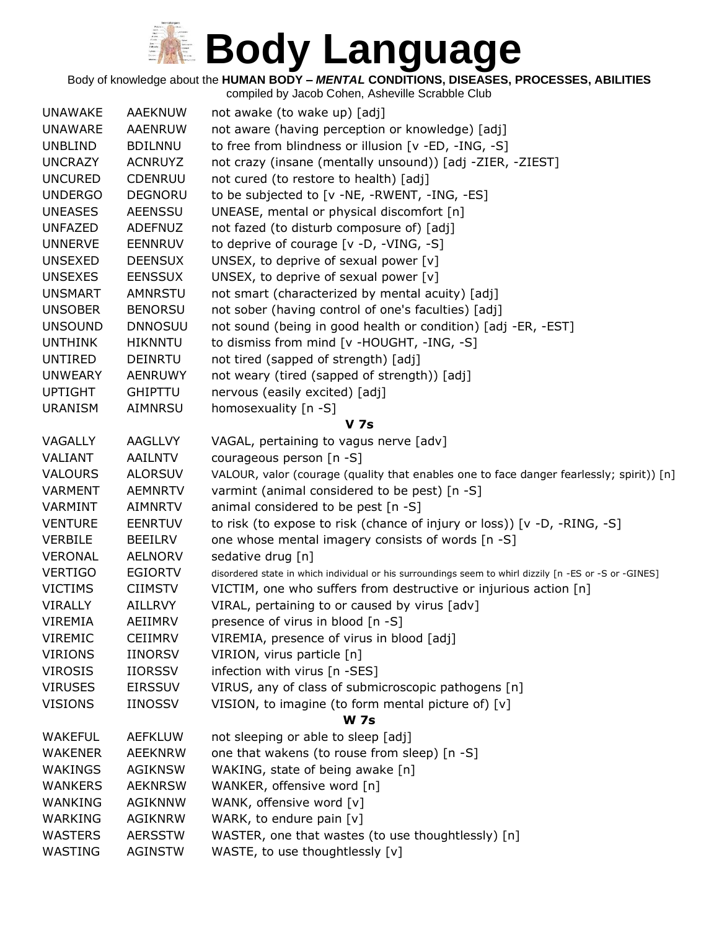# **Redy Language**

Body of knowledge about the **HUMAN BODY –** *MENTAL* **CONDITIONS, DISEASES, PROCESSES, ABILITIES**

|                |                | compiled by Jacob Cohen, Asheville Scrabble Club                                                       |
|----------------|----------------|--------------------------------------------------------------------------------------------------------|
| <b>UNAWAKE</b> | AAEKNUW        | not awake (to wake up) [adj]                                                                           |
| <b>UNAWARE</b> | <b>AAENRUW</b> | not aware (having perception or knowledge) [adj]                                                       |
| <b>UNBLIND</b> | <b>BDILNNU</b> | to free from blindness or illusion [v -ED, -ING, -S]                                                   |
| <b>UNCRAZY</b> | <b>ACNRUYZ</b> | not crazy (insane (mentally unsound)) [adj -ZIER, -ZIEST]                                              |
| <b>UNCURED</b> | <b>CDENRUU</b> | not cured (to restore to health) [adj]                                                                 |
| <b>UNDERGO</b> | <b>DEGNORU</b> | to be subjected to [v -NE, -RWENT, -ING, -ES]                                                          |
| <b>UNEASES</b> | <b>AEENSSU</b> | UNEASE, mental or physical discomfort [n]                                                              |
| <b>UNFAZED</b> | <b>ADEFNUZ</b> | not fazed (to disturb composure of) [adj]                                                              |
| <b>UNNERVE</b> | <b>EENNRUV</b> | to deprive of courage [v -D, -VING, -S]                                                                |
| <b>UNSEXED</b> | <b>DEENSUX</b> | UNSEX, to deprive of sexual power [v]                                                                  |
| <b>UNSEXES</b> | <b>EENSSUX</b> | UNSEX, to deprive of sexual power [v]                                                                  |
| <b>UNSMART</b> | AMNRSTU        | not smart (characterized by mental acuity) [adj]                                                       |
| <b>UNSOBER</b> | <b>BENORSU</b> | not sober (having control of one's faculties) [adj]                                                    |
| <b>UNSOUND</b> | <b>DNNOSUU</b> | not sound (being in good health or condition) [adj -ER, -EST]                                          |
| <b>UNTHINK</b> | <b>HIKNNTU</b> | to dismiss from mind [v -HOUGHT, -ING, -S]                                                             |
| <b>UNTIRED</b> | <b>DEINRTU</b> | not tired (sapped of strength) [adj]                                                                   |
| <b>UNWEARY</b> | <b>AENRUWY</b> | not weary (tired (sapped of strength)) [adj]                                                           |
| <b>UPTIGHT</b> | <b>GHIPTTU</b> | nervous (easily excited) [adj]                                                                         |
| <b>URANISM</b> | <b>AIMNRSU</b> | homosexuality [n -S]                                                                                   |
|                |                | <b>V 7s</b>                                                                                            |
| VAGALLY        | <b>AAGLLVY</b> | VAGAL, pertaining to vagus nerve [adv]                                                                 |
| VALIANT        | <b>AAILNTV</b> | courageous person [n -S]                                                                               |
| <b>VALOURS</b> | <b>ALORSUV</b> | VALOUR, valor (courage (quality that enables one to face danger fearlessly; spirit)) [n]               |
| <b>VARMENT</b> | <b>AEMNRTV</b> | varmint (animal considered to be pest) [n -S]                                                          |
| VARMINT        | <b>AIMNRTV</b> | animal considered to be pest [n -S]                                                                    |
| <b>VENTURE</b> | <b>EENRTUV</b> | to risk (to expose to risk (chance of injury or loss)) [v -D, -RING, -S]                               |
| <b>VERBILE</b> | <b>BEEILRV</b> | one whose mental imagery consists of words [n -S]                                                      |
| <b>VERONAL</b> | <b>AELNORV</b> | sedative drug [n]                                                                                      |
| <b>VERTIGO</b> | <b>EGIORTV</b> | disordered state in which individual or his surroundings seem to whirl dizzily [n -ES or -S or -GINES] |
| <b>VICTIMS</b> | <b>CIIMSTV</b> | VICTIM, one who suffers from destructive or injurious action [n]                                       |
| <b>VIRALLY</b> | <b>AILLRVY</b> | VIRAL, pertaining to or caused by virus [adv]                                                          |
| <b>VIREMIA</b> | AEIIMRV        | presence of virus in blood [n -S]                                                                      |
| <b>VIREMIC</b> | <b>CEIIMRV</b> | VIREMIA, presence of virus in blood [adj]                                                              |
| <b>VIRIONS</b> | <b>IINORSV</b> | VIRION, virus particle [n]                                                                             |
| <b>VIROSIS</b> | <b>IIORSSV</b> | infection with virus [n -SES]                                                                          |
| <b>VIRUSES</b> | <b>EIRSSUV</b> | VIRUS, any of class of submicroscopic pathogens [n]                                                    |
| <b>VISIONS</b> | <b>IINOSSV</b> | VISION, to imagine (to form mental picture of) [v]                                                     |
|                |                | <b>W</b> 7s                                                                                            |
| <b>WAKEFUL</b> | <b>AEFKLUW</b> | not sleeping or able to sleep [adj]                                                                    |
| <b>WAKENER</b> | <b>AEEKNRW</b> | one that wakens (to rouse from sleep) [n -S]                                                           |
| WAKINGS        | <b>AGIKNSW</b> | WAKING, state of being awake [n]                                                                       |
| <b>WANKERS</b> | <b>AEKNRSW</b> | WANKER, offensive word [n]                                                                             |
| WANKING        | AGIKNNW        | WANK, offensive word [v]                                                                               |
| WARKING        | <b>AGIKNRW</b> | WARK, to endure pain [v]                                                                               |
| <b>WASTERS</b> | <b>AERSSTW</b> | WASTER, one that wastes (to use thoughtlessly) [n]                                                     |
| WASTING        | <b>AGINSTW</b> | WASTE, to use thoughtlessly [v]                                                                        |